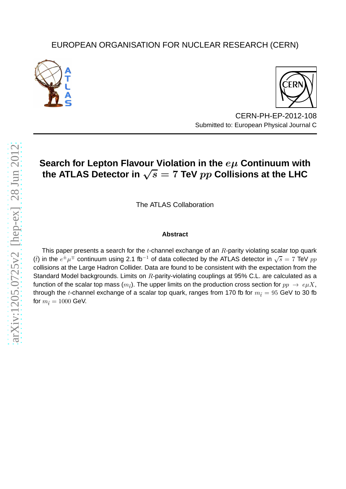## EUROPEAN ORGANISATION FOR NUCLEAR RESEARCH (CERN)





CERN-PH-EP-2012-108 Submitted to: European Physical Journal C

# **Search for Lepton Flavour Violation in the** eµ **Continuum with** the ATLAS Detector in  $\sqrt{s} = 7$  TeV  $pp$  Collisions at the LHC

The ATLAS Collaboration

### **Abstract**

This paper presents a search for the  $t$ -channel exchange of an  $R$ -parity violating scalar top quark ( $\tilde{t}$ ) in the  $e^{\pm}\mu^{\mp}$  continuum using 2.1 fb<sup>-1</sup> of data collected by the ATLAS detector in  $\sqrt{s} = 7$  TeV  $pp$ collisions at the Large Hadron Collider. Data are found to be consistent with the expectation from the Standard Model backgrounds. Limits on  $R$ -parity-violating couplings at 95% C.L. are calculated as a function of the scalar top mass  $(m<sub>\tilde{t}</sub>)$ . The upper limits on the production cross section for  $pp \rightarrow e\mu X$ , through the t-channel exchange of a scalar top quark, ranges from 170 fb for  $m_{\tilde{t}} = 95$  GeV to 30 fb for  $m_{\tilde{t}} = 1000$  GeV.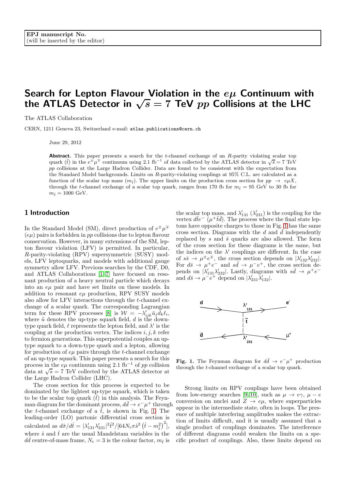## Search for Lepton Flavour Violation in the  $e\mu$  Continuum with the ATLAS Detector in  $\sqrt{s} = 7$  TeV pp Collisions at the LHC

The ATLAS Collaboration

CERN, 1211 Geneva 23, Switzerland e-mail: atlas.publications@cern.ch

June 29, 2012

**Abstract.** This paper presents a search for the  $t$ -channel exchange of an  $R$ -parity violating scalar top quark ( $\tilde{t}$ ) in the  $e^{\pm} \mu^{\mp}$  continuum using 2.1 fb<sup>-1</sup> of data collected by the ATLAS detector in  $\sqrt{s} = 7 \text{ TeV}$ pp collisions at the Large Hadron Collider. Data are found to be consistent with the expectation from the Standard Model backgrounds. Limits on R-parity-violating couplings at 95% C.L. are calculated as a function of the scalar top mass  $(m_i)$ . The upper limits on the production cross section for  $pp \rightarrow e\mu X$ , through the t-channel exchange of a scalar top quark, ranges from 170 fb for  $m_{\tilde{t}} = 95$  GeV to 30 fb for  $m_{\tilde{t}} = 1000 \text{ GeV}.$ 

#### 1 Introduction

In the Standard Model (SM), direct production of  $e^{\pm}\mu^{\mp}$  $(e\mu)$  pairs is forbidden in pp collisions due to lepton flavour conservation. However, in many extensions of the SM, lepton flavour violation (LFV) is permitted. In particular, R-parity-violating (RPV) supersymmetric (SUSY) models, LFV leptoquarks, and models with additional gauge symmetry allow LFV. Previous searches by the CDF, D0, and ATLAS Collaborations [\[1–](#page-6-0)[7\]](#page-6-1) have focused on resonant production of a heavy neutral particle which decays into an  $e\mu$  pair and have set limits on these models. In addition to resonant  $e\mu$  production, RPV SUSY models also allow for LFV interactions through the t-channel exchange of a scalar quark. The corresponding Lagrangian term for these RPV processes [\[8\]](#page-6-2) is  $\mathcal{W} = -\lambda'_{ijk}\tilde{u}_j\tilde{d}_k\ell_i$ , where  $\tilde{u}$  denotes the up-type squark field,  $d$  is the downtype quark field,  $\ell$  represents the lepton field, and  $\lambda'$  is the coupling at the production vertex. The indices  $i, j, k$  refer to fermion generations. This superpotential couples an uptype squark to a down-type quark and a lepton, allowing for production of  $e\mu$  pairs through the *t*-channel exchange of an up-type squark. This paper presents a search for this process in the  $e\mu$  continuum using 2.1 fb<sup>-1</sup> of pp collision data at  $\sqrt{s} = 7$  TeV collected by the ATLAS detector at the Large Hadron Collider (LHC).

The cross section for this process is expected to be dominated by the lightest up-type squark, which is taken to be the scalar top quark  $(\tilde{t})$  in this analysis. The Feynman diagram for the dominant process,  $d\bar{d} \rightarrow e^- \mu^+$  through the t-channel exchange of a  $\tilde{t}$ , is shown in Fig. [1.](#page-1-0) The leading-order (LO) partonic differential cross section is calculated as  $d\hat{\sigma}/d\hat{t} = |\lambda'_{131}\lambda'_{231}|^2 \hat{t}^2/[64N_c\pi\hat{s}^2(\hat{t} - m_{\tilde{t}}^2)^2],$ where  $\hat{s}$  and  $\hat{t}$  are the usual Mandelstam variables in the  $d\bar{d}$  centre-of-mass frame,  $N_c = 3$  is the colour factor,  $m_{\tilde{t}}$  is

the scalar top mass, and  $\lambda'_{131}$  ( $\lambda'_{231}$ ) is the coupling for the vertex  $d\tilde{t}e^{-}(\mu^{+}t\bar{d})$ . The process where the final state leptons have opposite charges to those in Fig. [1](#page-1-0) has the same cross section. Diagrams with the  $d$  and  $d$  independently replaced by s and  $\bar{s}$  quarks are also allowed. The form of the cross section for these diagrams is the same, but the indices on the  $\lambda'$  couplings are different. In the case of  $s\bar{s} \to \mu^{\pm}e^{\mp}$ , the cross section depends on  $|\lambda'_{132}\lambda'_{232}|$ . For  $d\bar{s} \to \mu^+e^-$  and  $s\bar{d} \to \mu^-e^+$ , the cross section depends on  $|\lambda'_{131}\lambda'_{232}|$ . Lastly, diagrams with  $s\bar{d} \to \mu^+e^$ and  $d\bar{s} \to \mu^- e^+$  depend on  $|\lambda'_{231} \lambda'_{132}|$ .



<span id="page-1-0"></span>**Fig. 1.** The Feynman diagram for  $d\bar{d} \rightarrow e^{-}\mu^{+}$  production through the t-channel exchange of a scalar top quark.

Strong limits on RPV couplings have been obtained from low-energy searches [\[9,](#page-6-3) [10\]](#page-6-4), such as  $\mu \to e\gamma$ ,  $\mu - e$ conversion on nuclei and  $Z \rightarrow e\mu$ , where superparticles appear in the intermediate state, often in loops. The presence of multiple interfering amplitudes makes the extraction of limits difficult, and it is usually assumed that a single product of couplings dominates. The interference of different diagrams could weaken the limits on a specific product of couplings. Also, these limits depend on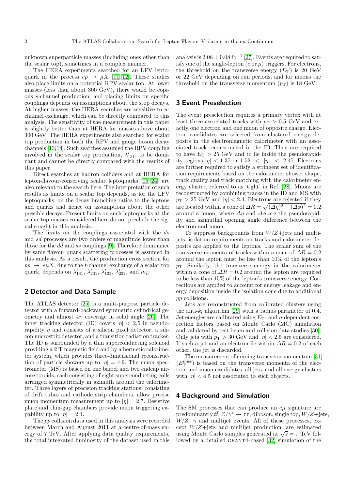unknown superparticle masses (including ones other than the scalar top), sometimes in a complex manner.

The HERA experiments searched for an LFV leptoquark in the process  $ep \rightarrow \mu X$  [\[11,](#page-6-5) [12\]](#page-6-6). These studies also place limits on a potential RPV scalar top. At lower masses (less than about 300 GeV), there would be copious s-channel production, and placing limits on specific couplings depends on assumptions about the stop decays. At higher masses, the HERA searches are sensitive to uchannel exchange, which can be directly compared to this analysis. The sensitivity of the measurement in this paper is slightly better than at HERA for masses above about 300 GeV. The HERA experiments also searched for scalar top production in both the RPV and gauge boson decay channels [\[13,](#page-6-7)[14\]](#page-6-8). Such searches assumed the RPV coupling involved in the scalar top production,  $\lambda'_{131}$ , to be dominant and cannot be directly compared with the results of this paper.

Direct searches at hadron colliders and at HERA for lepton-flavour-conserving scalar leptoquarks [\[15](#page-6-9)[–24\]](#page-6-10) are also relevant to the search here. The interpretation of such results as limits on a scalar top depends, as for the LFV leptoquarks, on the decay branching ratios to the leptons and quarks and hence on assumptions about the other possible decays. Present limits on such leptoquarks at the scalar top masses considered here do not preclude the signal sought in this analysis.

The limits on the couplings associated with the  $d\bar{s}$ and  $s\bar{d}$  processes are two orders of magnitude lower than those for the  $d\bar{d}$  and  $s\bar{s}$  couplings [\[9\]](#page-6-3). Therefore dominance by same flavour quark scattering processes is assumed in this analysis. As a result, the production cross section for  $pp \rightarrow e\mu X$ , due to the *t*-channel exchange of a scalar top quark, depends on  $\lambda'_{131}$ ,  $\lambda'_{231}$ ,  $\lambda'_{132}$ ,  $\lambda'_{232}$ , and  $m_{\tilde{t}}$ .

## 2 Detector and Data Sample

The ATLAS detector [\[25\]](#page-6-11) is a multi-purpose particle detector with a forward-backward symmetric cylindrical geometry and almost  $4\pi$  coverage in solid angle [\[26\]](#page-6-12). The inner tracking detector (ID) covers  $|\eta| < 2.5$  in pseudorapidity  $\eta$  and consists of a silicon pixel detector, a silicon microstrip detector, and a transition radiation tracker. The ID is surrounded by a thin superconducting solenoid providing a 2 T magnetic field and by a hermetic calorimeter system, which provides three-dimensional reconstruction of particle showers up to  $|\eta| = 4.9$ . The muon spectrometer (MS) is based on one barrel and two endcap aircore toroids, each consisting of eight superconducting coils arranged symmetrically in azimuth around the calorimeter. Three layers of precision tracking stations, consisting of drift tubes and cathode strip chambers, allow precise muon momentum measurement up to  $|\eta| = 2.7$ . Resistive plate and thin-gap chambers provide muon triggering capability up to  $|\eta| = 2.4$ .

The pp collision data used in this analysis were recorded between March and August 2011 at a centre-of-mass energy of 7 TeV. After applying data quality requirements, the total integrated luminosity of the dataset used in this

analysis is  $2.08 \pm 0.08$  fb<sup>-1</sup> [\[27\]](#page-6-13). Events are required to satisfy one of the single-lepton ( $e$  or  $\mu$ ) triggers. For electrons, the threshold on the transverse energy  $(E_T)$  is 20 GeV or 22 GeV depending on run periods, and for muons the threshold on the transverse momentum  $(p_T)$  is 18 GeV.

#### 3 Event Preselection

The event preselection requires a primary vertex with at least three associated tracks with  $p_T > 0.5$  GeV and exactly one electron and one muon of opposite charge. Electron candidates are selected from clustered energy deposits in the electromagnetic calorimeter with an associated track reconstructed in the ID. They are required to have  $E_T > 25$  GeV and to lie inside the pseudorapidity regions  $|\eta| < 1.37$  or  $1.52 < |\eta| < 2.47$ . Electrons are further required to satisfy a stringent set of identification requirements based on the calorimeter shower shape, track quality and track matching with the calorimeter energy cluster, referred to as 'tight' in Ref. [\[28\]](#page-6-14). Muons are reconstructed by combining tracks in the ID and MS with  $p_{\rm T} > 25$  GeV and  $|\eta| < 2.4$ . Electrons are rejected if they are located within a cone of  $\Delta R = \sqrt{(\Delta \eta)^2 + (\Delta \phi)^2} = 0.2$ around a muon, where  $\Delta \eta$  and  $\Delta \phi$  are the pseudorapidity and azimuthal opening angle difference between the electron and muon.

To suppress backgrounds from  $W/Z + i$ ets and multijets, isolation requirements on tracks and calorimeter deposits are applied to the leptons. The scalar sum of the transverse momenta of tracks within a cone of  $\Delta R = 0.2$ around the lepton must be less than 10% of the lepton's  $p_T$ . Similarly, the transverse energy in the calorimeter within a cone of  $\Delta R = 0.2$  around the lepton are required to be less than 15% of the lepton's transverse energy. Corrections are applied to account for energy leakage and energy deposition inside the isolation cone due to additional pp collisions.

Jets are reconstructed from calibrated clusters using the anti- $k_t$  algorithm [\[29\]](#page-6-15) with a radius parameter of 0.4. Jet energies are calibrated using  $E_T$ - and  $\eta$ -dependent correction factors based on Monte Carlo (MC) simulation and validated by test beam and collision data studies [\[30\]](#page-6-16). Only jets with  $p_T > 30$  GeV and  $|\eta| < 2.5$  are considered. If such a jet and an electron lie within  $\Delta R = 0.2$  of each other, the jet is discarded.

The measurement of missing transverse momentum [\[31\]](#page-6-17)  $(E_{\rm T}^{\rm miss})$  is based on the transverse momenta of the electron and muon candidates, all jets, and all energy clusters with  $|\eta| < 4.5$  not associated to such objects.

#### 4 Background and Simulation

The SM processes that can produce an  $e\mu$  signature are predominantly  $t\bar{t}$ ,  $Z/\gamma^* \to \tau\tau$ , diboson, single top,  $W/Z + \text{jets}$ ,  $W/Z+\gamma$  and multijet events. All of these processes, except  $W/Z + \text{jets}$  and multijet production, are estimated using Monte Carlo samples generated at  $\sqrt{s} = 7$  TeV fol-lowed by a detailed GEANT4-based [\[32\]](#page-6-18) simulation of the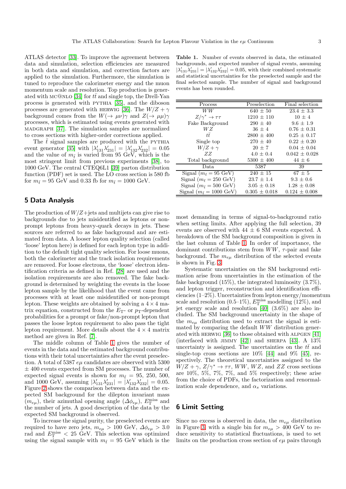ATLAS detector [\[33\]](#page-6-19). To improve the agreement between data and simulation, selection efficiencies are measured in both data and simulation, and correction factors are applied to the simulation. Furthermore, the simulation is tuned to reproduce the calorimeter energy and the muon momentum scale and resolution. Top production is gener-ated with MC@NLO [\[34\]](#page-6-20) for  $t\bar{t}$  and single top, the Drell-Yan process is generated with pythia [\[35\]](#page-6-21), and the diboson processes are generated with HERWIG [\[36\]](#page-6-22). The  $W/Z + \gamma$ background comes from the  $W(\rightarrow \mu\nu)\gamma$  and  $Z(\rightarrow \mu\mu)\gamma$ processes, which is estimated using events generated with madgraph [\[37\]](#page-6-23). The simulation samples are normalized to cross sections with higher-order corrections applied.

The  $\tilde{t}$  signal samples are produced with the PYTHIA event generator [\[35\]](#page-6-21) with  $|\lambda'_{131}\lambda'_{231}| = |\lambda'_{132}\lambda'_{232}| = 0.05$ and the value of  $m_{\tilde{t}}$  is varied from 95 GeV, which is the most stringent limit from previous experiments [\[38\]](#page-6-24), to 1000 GeV. The central CTEQ6L1 [\[39\]](#page-6-25) parton distribution function (PDF) set is used. The LO cross section is 580 fb for  $m_{\tilde{t}} = 95$  GeV and 0.33 fb for  $m_{\tilde{t}} = 1000$  GeV.

### 5 Data Analysis

The production of  $W/Z +$ jets and multijets can give rise to backgrounds due to jets misidentified as leptons or nonprompt leptons from heavy-quark decays in jets. These sources are referred to as fake background and are estimated from data. A looser lepton quality selection (called 'loose' lepton here) is defined for each lepton type in addition to the default tight quality selection. For loose muons, both the calorimeter and the track isolation requirements are removed. For loose electrons, the 'loose' electron identification criteria as defined in Ref. [\[28\]](#page-6-14) are used and the isolation requirements are also removed. The fake background is determined by weighting the events in the loose lepton sample by the likelihood that the event came from processes with at least one misidentified or non-prompt lepton. These weights are obtained by solving a  $4 \times 4$  matrix equation, constructed from the  $E_T$ - or  $p_T$ -dependent probabilities for a prompt or fake/non-prompt lepton that passes the loose lepton requirement to also pass the tight lepton requirement. More details about the  $4 \times 4$  matrix method are given in Ref. [\[7\]](#page-6-1).

The middle column of Table [1](#page-3-0) gives the number of events in the data and the estimated background contributions with their total uncertainties after the event preselection. A total of 5387  $e\mu$  candidates are observed with 5300  $±$  400 events expected from SM processes. The number of expected signal events is shown for  $m_{\tilde{t}} = 95, 250, 500,$ and 1000 GeV, assuming  $|\lambda'_{131}\lambda'_{231}| = |\lambda'_{132}\lambda'_{232}| = 0.05$ . Figure [2](#page-4-0) shows the comparison between data and the expected SM background for the dilepton invariant mass  $(m_{e\mu})$ , their azimuthal opening angle  $(\Delta \phi_{e\mu})$ ,  $E_{\rm T}^{\rm miss}$  and the number of jets. A good description of the data by the expected SM background is observed.

To increase the signal purity, the preselected events are required to have zero jets,  $m_{e\mu} > 100 \text{ GeV}, \Delta \phi_{e\mu} > 3.0$ rad and  $E_{\rm T}^{\rm miss}$  < 25 GeV. This selection was optimized using the signal sample with  $m_{\tilde{t}} = 95$  GeV which is the

<span id="page-3-0"></span>Table 1. Number of events observed in data, the estimated backgrounds, and expected number of signal events, assuming  $|\lambda'_{131}\lambda'_{231}| = |\lambda'_{132}\lambda'_{232}| = 0.05$ , with their combined systematic and statistical uncertainties for the preselected sample and the final selected sample. The number of signal and background events has been rounded.

| Process                                     | Preselection      | Final selection   |
|---------------------------------------------|-------------------|-------------------|
| WW.                                         | $640 \pm 50$      | $23.4 \pm 3.3$    |
| $Z/\gamma^* \to \tau\tau$                   | $1210 \pm 110$    | $10 \pm 4$        |
| Fake Background                             | $290 \pm 40$      | $9.6 \pm 1.9$     |
| WZ                                          | $36 + 4$          | $0.76 \pm 0.31$   |
| tŦ.                                         | $2800 \pm 400$    | $0.25 \pm 0.17$   |
| Single top                                  | $270 \pm 40$      | $0.22 \pm 0.20$   |
| $W/Z + \gamma$                              | $20 \pm 7$        | $0.04 \pm 0.04$   |
| ZZ                                          | $4.0 + 0.4$       | $0.042 \pm 0.028$ |
| Total background                            | $5300 \pm 400$    | $44 \pm 6$        |
| Data.                                       | 5387              | 39                |
| Signal $(m_{\tilde{t}} = 95 \text{ GeV})$   | $240 \pm 15$      | $67 \pm 5$        |
| Signal $(m_{\tilde{t}} = 250 \text{ GeV})$  | $23.7 \pm 1.4$    | $9.3 \pm 0.6$     |
| Signal $(m_{\tilde{t}} = 500 \text{ GeV})$  | $3.05 \pm 0.18$   | $1.28 \pm 0.08$   |
| Signal $(m_{\tilde{t}} = 1000 \text{ GeV})$ | $0.305 \pm 0.018$ | $0.124 \pm 0.008$ |

most demanding in terms of signal-to-background ratio when setting limits. After applying the full selection, 39 events are observed with  $44 \pm 6$  SM events expected. A breakdown of the SM background composition is given in the last column of Table [1.](#page-3-0) In order of importance, the dominant contributions stem from  $WW$ ,  $\tau$ -pair and fake background. The  $m_{e\mu}$  distribution of the selected events is shown in Fig. [3.](#page-5-0)

Systematic uncertainties on the SM background estimation arise from uncertainties in the estimation of the fake background (15%), the integrated luminosity (3.7%), and lepton trigger, reconstruction and identification efficiencies (1–2%). Uncertainties from lepton energy/momentum scale and resolution  $(0.5-1\%)$ ,  $E_{\rm T}^{\rm miss}$  modelling  $(12\%)$ , and jet energy scale and resolution [\[40\]](#page-6-26) (3.6%) are also included. The SM background uncertainty in the shape of the  $m_{e\mu}$  distribution used to extract the signal is estimated by comparing the default WW distribution generated with herwig [\[36\]](#page-6-22) to those obtained with alpgen [\[41\]](#page-6-27) (interfaced with JIMMY [\[42\]](#page-6-28)) and SHERPA [\[43\]](#page-6-29). A  $13\%$ uncertainty is assigned. The uncertainties on the  $t\bar{t}$  and single-top cross sections are  $10\%$  [\[44\]](#page-6-30) and 9\% [\[45\]](#page-6-31), respectively. The theoretical uncertainties assigned to the  $W/Z + \gamma$ ,  $Z/\gamma^* \rightarrow \tau \tau$ ,  $WW$ ,  $WZ$ , and  $ZZ$  cross sections are 10%, 5%, 7%, 7%, and 5% respectively; these arise from the choice of PDFs, the factorization and renormalization scale dependence, and  $\alpha_s$  variations.

#### 6 Limit Setting

Since no excess is observed in data, the  $m_{e\mu}$  distribution in Figure [3,](#page-5-0) with a single bin for  $m_{e\mu} > 400$  GeV to reduce sensitivity to statistical fluctuations, is used to set limits on the production cross section of  $e\mu$  pairs through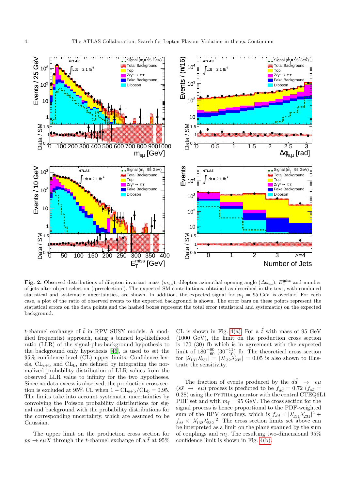

<span id="page-4-0"></span>Fig. 2. Observed distributions of dilepton invariant mass  $(m_{e\mu})$ , dilepton azimuthal opening angle  $(\Delta \phi_{e\mu})$ ,  $E_T^{\text{miss}}$  and number of jets after object selection ('preselection'). The expected SM contributions, obtained as described in the text, with combined statistical and systematic uncertainties, are shown. In addition, the expected signal for  $m<sub>f</sub> = 95$  GeV is overlaid. For each case, a plot of the ratio of observed events to the expected background is shown. The error bars on these points represent the statistical errors on the data points and the hashed boxes represent the total error (statistical and systematic) on the expected background.

t-channel exchange of  $\tilde{t}$  in RPV SUSY models. A modified frequentist approach, using a binned log-likelihood ratio (LLR) of the signal-plus-background hypothesis to the background only hypothesis [\[46\]](#page-6-32), is used to set the 95% confidence level (CL) upper limits. Confidence levels,  $CL_{s+b}$  and  $CL_b$ , are defined by integrating the normalized probability distribution of LLR values from the observed LLR value to infinity for the two hypotheses. Since no data excess is observed, the production cross section is excluded at 95% CL when  $1 - CL_{s+b}/CL_b = 0.95$ . The limits take into account systematic uncertainties by convolving the Poisson probability distributions for signal and background with the probability distributions for the corresponding uncertainty, which are assumed to be Gaussian.

The upper limit on the production cross section for  $pp \to e\mu X$  through the *t*-channel exchange of a  $\tilde{t}$  at 95% CL is shown in Fig. [4\(a\).](#page-5-1) For a  $\tilde{t}$  with mass of 95 GeV (1000 GeV), the limit on the production cross section is 170 (30) fb which is in agreement with the expected limit of  $180^{+80}_{-60}$   $(30^{+11}_{-10})$  fb. The theoretical cross section for  $|\lambda'_{131}\lambda'_{231}| = |\lambda'_{132}\lambda'_{232}| = 0.05$  is also shown to illustrate the sensitivity.

The fraction of events produced by the  $d\bar{d} \rightarrow e\mu$  $(s\bar{s} \rightarrow e\mu)$  process is predicted to be  $f_{d\bar{d}} = 0.72$   $(f_{s\bar{s}} =$ 0.28) using the pythia generator with the central CTEQ6L1 PDF set and with  $m_{\tilde{t}} = 95$  GeV. The cross section for the signal process is hence proportional to the PDF-weighted sum of the RPV couplings, which is  $f_{d\bar{d}} \times |\lambda'_{131}\lambda'_{231}|^2 +$  $f_{s\bar{s}} \times |\lambda'_{132}\lambda'_{232}|^2$ . The cross section limits set above can be interpreted as a limit on the plane spanned by the sum of couplings and  $m_{\tilde{t}}$ . The resulting two-dimensional 95% confidence limit is shown in Fig. [4\(b\).](#page-5-2)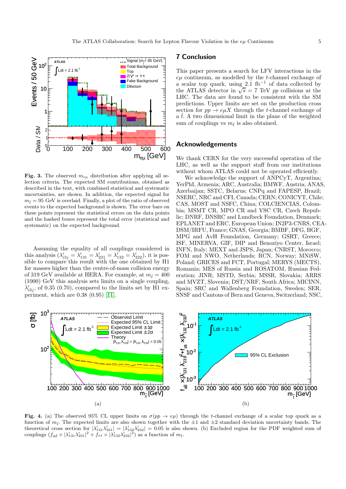

<span id="page-5-0"></span>Fig. 3. The observed  $m_{e\mu}$  distribution after applying all selection criteria. The expected SM contributions, obtained as described in the text, with combined statistical and systematic uncertainties, are shown. In addition, the expected signal for  $m_{\tilde{t}} = 95$  GeV is overlaid. Finally, a plot of the ratio of observed events to the expected background is shown. The error bars on these points represent the statistical errors on the data points and the hashed boxes represent the total error (statistical and systematic) on the expected background.

Assuming the equality of all couplings considered in this analysis  $(\lambda'_{i3j} = \lambda'_{131} = \lambda'_{231} = \lambda'_{132} = \lambda'_{232})$ , it is possible to compare this result with the one obtained by H1 for masses higher than the centre-of-mass collision energy of 319 GeV available at HERA. For example, at  $m_{\tilde{t}} = 400$ (1000) GeV this analysis sets limits on a single coupling,  $\lambda'_{i3j}$ , of 0.35 (0.70), compared to the limits set by H1 experiment, which are 0.38 (0.95) [\[11\]](#page-6-5).

#### 7 Conclusion

This paper presents a search for LFV interactions in the  $e\mu$  continuum, as modelled by the t-channel exchange of a scalar top quark, using  $2.\dot{1}$  fb<sup>-1</sup> of data collected by the ATLAS detector in  $\sqrt{s}$  = 7 TeV pp collisions at the LHC. The data are found to be consistent with the SM predictions. Upper limits are set on the production cross section for  $pp \to e\mu X$  through the *t*-channel exchange of a  $\tilde{t}$ . A two dimensional limit in the plane of the weighted sum of couplings vs  $m_{\tilde{t}}$  is also obtained.

#### Acknowledgements

We thank CERN for the very successful operation of the LHC, as well as the support staff from our institutions without whom ATLAS could not be operated efficiently.

We acknowledge the support of ANPCyT, Argentina; YerPhI, Armenia; ARC, Australia; BMWF, Austria; ANAS, Azerbaijan; SSTC, Belarus; CNPq and FAPESP, Brazil; NSERC, NRC and CFI, Canada; CERN; CONICYT, Chile; CAS, MOST and NSFC, China; COLCIENCIAS, Colombia; MSMT CR, MPO CR and VSC CR, Czech Republic; DNRF, DNSRC and Lundbeck Foundation, Denmark; EPLANET and ERC, European Union; IN2P3-CNRS, CEA-DSM/IRFU, France; GNAS, Georgia; BMBF, DFG, HGF, MPG and AvH Foundation, Germany; GSRT, Greece; ISF, MINERVA, GIF, DIP and Benoziyo Center, Israel; INFN, Italy; MEXT and JSPS, Japan; CNRST, Morocco; FOM and NWO, Netherlands; RCN, Norway; MNiSW, Poland; GRICES and FCT, Portugal; MERYS (MECTS), Romania; MES of Russia and ROSATOM, Russian Federation; JINR; MSTD, Serbia; MSSR, Slovakia; ARRS and MVZT, Slovenia; DST/NRF, South Africa; MICINN, Spain; SRC and Wallenberg Foundation, Sweden; SER, SNSF and Cantons of Bern and Geneva, Switzerland; NSC,

<span id="page-5-1"></span>

<span id="page-5-2"></span>Fig. 4. (a) The observed 95% CL upper limits on  $\sigma(pp \to e\mu)$  through the t-channel exchange of a scalar top quark as a function of  $m_{\tilde{t}}$ . The expected limits are also shown together with the  $\pm 1$  and  $\pm 2$  standard deviation uncertainty bands. The theoretical cross section for  $|\lambda'_{131}\lambda'_{231}| = |\lambda'_{132}\lambda'_{232}| = 0.05$  is also shown. (b) Excluded region for the PDF weighted sum of couplings  $(f_{d\bar{d}} \times |\lambda'_{131}\lambda'_{231}|^2 + f_{s\bar{s}} \times |\lambda'_{132}\lambda'_{232}|^2)$  as a function of  $m_{\tilde{t}}$ .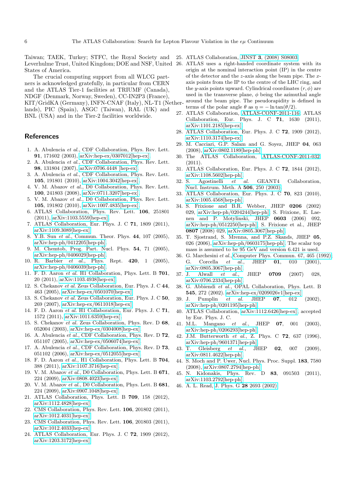Taiwan; TAEK, Turkey; STFC, the Royal Society and Leverhulme Trust, United Kingdom; DOE and NSF, United States of America.

The crucial computing support from all WLCG partners is acknowledged gratefully, in particular from CERN and the ATLAS Tier-1 facilities at TRIUMF (Canada), NDGF (Denmark, Norway, Sweden), CC-IN2P3 (France), KIT/GridKA (Germany), INFN-CNAF (Italy), NL-T1 (Netherlands), PIC (Spain), ASGC (Taiwan), RAL (UK) and BNL (USA) and in the Tier-2 facilities worldwide.

#### <span id="page-6-0"></span>References

- 1. A. Abulencia et al., CDF Collaboration, Phys. Rev. Lett. 91, 171602 (2003), [arXiv:hep-ex/0307012\[hep-ex\].](http://uk.arxiv.org/abs/hep-ex/0307012)
- 2. A. Abulencia et al., CDF Collaboration, Phys. Rev. Lett. 98, 131804 (2007), [arXiv:0706.4448 \[hep-ex\].](http://arxiv.org/abs/0706.4448)
- 3. A. Abulencia et al., CDF Collaboration, Phys. Rev. Lett. 105, 191801 (2010), [arXiv:1004.3042\[hep-ex\].](http://arxiv.org/abs/1004.3042)
- 4. V. M. Abazov et al., D0 Collaboration, Phys. Rev. Lett. 100, 241803 (2008), [arXiv:0711.3207\[hep-ex\].](http://arxiv.org/abs/0711.3207)
- 5. V. M. Abazov et al., D0 Collaboration, Phys. Rev. Lett. 105, 191802 (2010), [arXiv:1007.4835\[hep-ex\].](http://arxiv.org/abs/1007.4835)
- 6. ATLAS Collaboration, Phys. Rev. Lett. 106, 251801 (2011), [arXiv:1103.5559\[hep-ex\].](http://arxiv.org/abs/1103.5559)
- <span id="page-6-1"></span>7. ATLAS Collaboration, Eur. Phys. J. C 71, 1809 (2011), [arXiv:1109.3089\[hep-ex\].](http://arxiv.org/abs/1109.3089)
- <span id="page-6-2"></span>8. Y.B. Sun et al., Commun. Theor. Phys. 44, 107 (2005), [arXiv:hep-ph/0412205\[hep-ph\].](http://arxiv.org/abs/hep-ph/0412205)
- <span id="page-6-3"></span>9. M. Chemtob, Prog. Part. Nucl. Phys. 54, 71 (2005), [arXiv:hep-ph/0406029\[hep-ph\].](http://arxiv.org/abs/hep-ph/0406029)
- <span id="page-6-4"></span>10. R. Barbier et al., Phys. Rept. 420, 1 (2005), [arXiv:hep-ph/0406039\[hep-ph\].](http://arxiv.org/abs/hep-ph/0406039)
- <span id="page-6-5"></span>11. F. D. Aaron et al. H1 Collaboration, Phys. Lett. B 701, 20 (2011), [arXiv:1103.4938\[hep-ex\].](http://arxiv.org/abs/1103.4938)
- <span id="page-6-6"></span>12. S. Chekanov et al. Zeus Collaboration, Eur. Phys. J. C 44, 463 (2005), [arXiv:hep-ex/0501070\[hep-ex\].](http://arxiv.org/abs/hep-ex/0501070)
- <span id="page-6-7"></span>13. S. Chekanov et al. Zeus Collaboration, Eur. Phys. J. C 50, 269 (2007), [arXiv:hep-ex/0611018\[hep-ex\].](http://arxiv.org/abs/hep-ex/0611018)
- <span id="page-6-8"></span>14. F. D. Aaron et al. H1 Collaboration, Eur. Phys. J. C 71, 1572 (2011), [arXiv:1011.6359\[hep-ex\].](http://arxiv.org/abs/1011.6359)
- <span id="page-6-9"></span>15. S. Chekanov et al. Zeus Collaboration, Phys. Rev. D 68, 052004 (2003), [arXiv:hep-ex/0304008\[hep-ex\].](http://arxiv.org/abs/hep-ex/0304008)
- 16. A. Abulencia et al., CDF Collaboration, Phys. Rev. D 72, 051107 (2005), [arXiv:hep-ex/0506074\[hep-ex\].](http://arxiv.org/abs/hep-ex/0506074)
- 17. A. Abulencia et al., CDF Collaboration, Phys. Rev. D 73, 051102 (2006), [arXiv:hep-ex/0512055\[hep-ex\].](http://arxiv.org/abs/hep-ex/0512055)
- 18. F. D. Aaron et al., H1 Collaboration, Phys. Lett. B 704, 388 (2011), [arXiv:1107.3716\[hep-ex\].](http://arxiv.org/abs/1107.3716)
- 19. V. M. Abazov et al., D0 Collaboration, Phys. Lett. B 671, 224 (2009), [arXiv:0808.4023\[hep-ex\].](http://arxiv.org/abs/0808.4023)
- 20. V. M. Abazov et al., D0 Collaboration, Phys. Lett. B 681, 224 (2009), [arXiv:0907.1048\[hep-ex\].](http://arxiv.org/abs/0907.1048)
- 21. ATLAS Collaboration, Phys. Lett. B 709, 158 (2012), [arXiv:1112.4828\[hep-ex\].](http://arxiv.org/abs/1112.4828)
- 22. CMS Collaboration, Phys. Rev. Lett. 106, 201802 (2011), [arXiv:1012.4031\[hep-ex\].](http://arxiv.org/abs/1012.4031)
- 23. CMS Collaboration, Phys. Rev. Lett. 106, 201803 (2011), [arXiv:1012.4033\[hep-ex\].](http://arxiv.org/abs/1012.4033)
- <span id="page-6-10"></span>24. ATLAS Collaboration, Eur. Phys. J. C 72, 1909 (2012), [arXiv:1203.3172\[hep-ex\].](http://arxiv.org/abs/1203.3172)
- <span id="page-6-12"></span><span id="page-6-11"></span>25. ATLAS Collaboration, JINST 3[, \(2008\) S08003.](http://iopscience.iop.org/1748-0221/3/08/S08003/)
- 26. ATLAS uses a right-handed coordinate system with its origin at the nominal interaction point (IP) in the centre of the detector and the z-axis along the beam pipe. The xaxis points from the IP to the centre of the LHC ring, and the y-axis points upward. Cylindrical coordinates  $(r, \phi)$  are used in the transverse plane,  $\phi$  being the azimuthal angle around the beam pipe. The pseudorapidity is defined in terms of the polar angle  $\theta$  as  $\eta = -\ln \tan(\theta/2)$ .
- <span id="page-6-13"></span>27. ATLAS Collaboration, [ATLAS-CONF-2011-116;](https://cdsweb.cern.ch/record/1376384) ATLAS Collaboration, Eur. Phys. J. C 71, 1630 (2011), [arXiv:1101.2185\[hep-ex\].](http://arxiv.org/abs/1101.2185)
- <span id="page-6-14"></span>28. ATLAS Collaboration, Eur. Phys. J. C 72, 1909 (2012), [arXiv:1110.3174\[hep-ex\].](http://arxiv.org/abs/1110.3174)
- <span id="page-6-15"></span>29. M. Cacciari, G.P. Salam and G. Soyez, JHEP 04, 063 (2008), [arXiv:0802.1189\[hep-ph\].](http://arxiv.org/abs/0802.1189)
- <span id="page-6-16"></span>30. The ATLAS Collaboration, [ATLAS-CONF-2011-032,](http://cdsweb.cern.ch/record/1333972) (2011).
- <span id="page-6-17"></span>31. ATLAS Collaboration, Eur. Phys. J. C 72, 1844 (2012), [arXiv:1108.5602\[hep-ph\].](http://arxiv.org/abs/1108.5602)
- <span id="page-6-18"></span>32. S. Agostinelli et al. GEANT4 Collaboration, [Nucl. Instrum. Meth. A](http://www.sciencedirect.com/science/article/pii/S0168900203013688) 506, 250 (2003).
- <span id="page-6-19"></span>33. ATLAS Collaboration, Eur. Phys. J. C 70, 823 (2010), [arXiv:1005.4568\[hep-ph\].](http://arxiv.org/abs/1005.4568)
- <span id="page-6-20"></span>34. S. Frixione and B.R. Webber, JHEP 0206 (2002) 029, [arXiv:hep-ph/0204244\[hep-ph\];](http://arxiv.org/abs/hep-ph/0204244) S. Frixione, E. Laenen and P. Motylinski, JHEP 0603 (2006) 092, [arXiv:hep-ph/0512250\[hep-ph\];](http://arxiv.org/abs/hep-ph/0512250) S. Frixione et al., JHEP 0807 (2008) 029, [arXiv:0805.3067\[hep-ph\].](http://arxiv.org/abs/0805.3067)
- <span id="page-6-21"></span>35. T. Sjostrand, S. Mrenna, and P.Z. Skands, JHEP 05, 026 (2006), [arXiv:hep-ph/0603175\[hep-ph\].](http://arxiv.org/abs/hep-ph/0603175) The scalar top mass is assumed to be 95 GeV and version 6.421 is used.
- <span id="page-6-22"></span>36. G. Marchesini et al., [Computer Phys. Commun. 67, 465 \(1992\);](http://hepwww.rl.ac.uk/theory/seymour/pubs/hep9026.ps_Z) G. Corcella et al., JHEP 01, 010 (2001), [arXiv:0805.3067\[hep-ph\].](http://arxiv.org/abs/0805.3067)
- <span id="page-6-23"></span>37. J. Alwall et al., JHEP **0709** (2007) 028, [arXiv:0706.2334\[hep-ph\].](http://arxiv.org/abs/0706.2334)
- <span id="page-6-24"></span>38. G. Abbiendi et al., OPAL Collaboration, Phys. Lett. B
- <span id="page-6-25"></span>**545**, 272 (2002). [arXiv:hep-ex/0209026v1\[hep-ex\]](http://arxiv.org/abs/hep-ex/0209026)<br>39. J. Pumplin *et al.* JHEP **07**, 012 Pumplin et al. JHEP  $07, 012$  (2002), [arXiv:hep-ph/0201195\[hep-ph\].](http://arxiv.org/abs/hep-ph/0201195)
- <span id="page-6-26"></span>40. ATLAS Collaboration, [arXiv:1112.6426\[hep-ex\],](http://arxiv.org/abs/1112.6426) accepted by Eur. Phys. J. C.
- <span id="page-6-27"></span>41. M.L. Mangano et al., JHEP 07, 001 (2003), [arXiv:hep-ph/0206293\[hep-ph\].](http://arxiv.org/abs/hep-ph/0206293)
- <span id="page-6-28"></span>42. J.M. Butterworth et al., Z. Phys. C 72, 637 (1996), [arXiv:hep-ph/9601371\[hep-ph\].](http://arxiv.org/abs/hep-ph/9601371)
- <span id="page-6-29"></span>43. T. Gleisberg et al., JHEP 02, 007 (2009), [arXiv:0811.4622\[hep-ph\].](http://arxiv.org/abs/0811.4622)
- <span id="page-6-30"></span>44. S. Moch and P. Uwer, Nucl. Phys. Proc. Suppl. 183, 7580 (2008), [arXiv:0807.2794\[hep-ph\].](http://arxiv.org/abs/0807.2794)
- <span id="page-6-31"></span>45. N. Kidonakis, Phys. Rev. D 83, 091503 (2011), [arXiv:1103.2792\[hep-ph\].](http://arxiv.org/abs/1103.2792)
- <span id="page-6-32"></span>46. A. L. Read, J. Phys. G 28 [2693 \(2002\).](http://iopscience.iop.org/0954-3899/28/10/313/)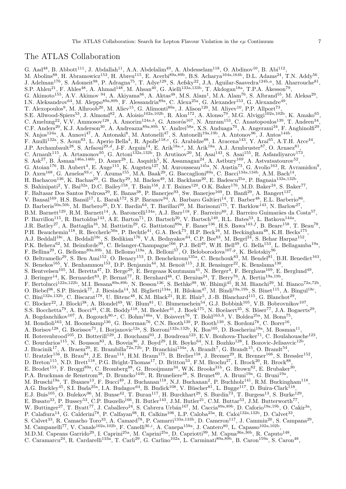## The ATLAS Collaboration

G. Aad<sup>48</sup>, B. Abbott<sup>111</sup>, J. Abdallah<sup>11</sup>, A.A. Abdelalim<sup>49</sup>, A. Abdesselam<sup>118</sup>, O. Abdinov<sup>10</sup>, B. Abi<sup>112</sup>, M. Abolins<sup>88</sup>, H. Abramowicz<sup>153</sup>, H. Abreu<sup>115</sup>, E. Acerbi<sup>89a,89b</sup>, B.S. Acharya<sup>164a,164b</sup>, D.L. Adams<sup>24</sup>, T.N. Addy<sup>56</sup>, J. Adelman<sup>176</sup>, S. Adomeit<sup>98</sup>, P. Adragna<sup>75</sup>, T. Adye<sup>129</sup>, S. Aefsky<sup>22</sup>, J.A. Aguilar-Saavedra<sup>124b,a</sup>, M. Aharrouche<sup>81</sup>, S.P. Ahlen<sup>21</sup>, F. Ahles<sup>48</sup>, A. Ahmad<sup>148</sup>, M. Ahsan<sup>40</sup>, G. Aielli<sup>133a,133b</sup>, T. Akdogan<sup>18a</sup>, T.P.A. Åkesson<sup>79</sup>, G. Akimoto<sup>155</sup>, A.V. Akimov <sup>94</sup>, A. Akiyama<sup>66</sup>, A. Aktas<sup>48</sup>, M.S. Alam<sup>1</sup>, M.A. Alam<sup>76</sup>, S. Albrand<sup>55</sup>, M. Aleksa<sup>29</sup>, I.N. Aleksandrov<sup>64</sup>, M. Aleppo<sup>89a,89b</sup>, F. Alessandria<sup>89a</sup>, C. Alexa<sup>25a</sup>, G. Alexander<sup>153</sup>, G. Alexandre<sup>49</sup>, T. Alexopoulos<sup>9</sup>, M. Alhroob<sup>20</sup>, M. Aliev<sup>15</sup>, G. Alimonti<sup>89a</sup>, J. Alison<sup>120</sup>, M. Aliyev<sup>10</sup>, P.P. Allport<sup>73</sup>, S.E. Allwood-Spiers<sup>53</sup>, J. Almond<sup>82</sup>, A. Aloisio<sup>102a,102b</sup>, R. Alon<sup>172</sup>, A. Alonso<sup>79</sup>, M.G. Alviggi<sup>102a,102b</sup>, K. Amako<sup>65</sup>, C. Amelung<sup>22</sup>, V.V. Ammosov<sup>128</sup>, A. Amorim<sup>124a,b</sup>, G. Amorós<sup>167</sup>, N. Amram<sup>153</sup>, C. Anastopoulos<sup>139</sup>, T. Andeen<sup>34</sup>, C.F. Anders<sup>20</sup>, K.J. Anderson<sup>30</sup>, A. Andreazza<sup>89a,89b</sup>, V. Andrei<sup>58a</sup>, X.S. Anduaga<sup>70</sup>, A. Angerami<sup>34</sup>, F. Anghinolfi<sup>29</sup>, N. Anjos<sup>124a</sup>, A. Annovi<sup>47</sup>, A. Antonaki<sup>8</sup>, M. Antonelli<sup>47</sup>, S. Antonelli<sup>19a,19b</sup>, A. Antonov<sup>96</sup>, J. Antos<sup>144b</sup>, F. Anulli<sup>132a</sup>, S. Aoun<sup>83</sup>, L. Aperio Bella<sup>4</sup>, R. Apolle<sup>118,c</sup>, G. Arabidze<sup>88</sup>, I. Aracena<sup>143</sup>, Y. Arai<sup>65</sup>, A.T.H. Arce<sup>44</sup>, J.P. Archambault<sup>28</sup>, S. Arfaoui<sup>29,d</sup>, J-F. Arguin<sup>14</sup>, E. Arik<sup>18a,\*</sup>, M. Arik<sup>18a</sup>, A.J. Armbruster<sup>87</sup>, O. Arnaez<sup>81</sup>, C. Arnault<sup>115</sup>, A. Artamonov<sup>95</sup>, G. Artoni<sup>132a,132b</sup>, D. Arutinov<sup>20</sup>, M. Asai<sup>143</sup>, S. Asai<sup>155</sup>, R. Asfandiyarov<sup>173</sup>, S. Ask<sup>27</sup>, B. Åsman<sup>146a,146b</sup>, D. Asner<sup>28</sup>, L. Asquith<sup>5</sup>, K. Assamagan<sup>24</sup>, A. Astbury<sup>169</sup>, A. Astvatsatourov<sup>52</sup>, G. Atoian<sup>176</sup>, B. Aubert<sup>4</sup>, E. Auge<sup>115</sup>, K. Augsten<sup>127</sup>, M. Aurousseau<sup>145a</sup>, N. Austin<sup>73</sup>, G. Avolio<sup>163</sup>, R. Avramidou<sup>9</sup>, D. Axen<sup>168</sup>, G. Azuelos<sup>93,e</sup>, Y. Azuma<sup>155</sup>, M.A. Baak<sup>29</sup>, G. Baccaglioni<sup>89a</sup>, C. Bacci<sup>134a,134b</sup>, A.M. Bach<sup>14</sup>, H. Bachacou<sup>136</sup>, K. Bachas<sup>29</sup>, G. Bachy<sup>29</sup>, M. Backes<sup>49</sup>, M. Backhaus<sup>20</sup>, E. Badescu<sup>25a</sup>, P. Bagnaia<sup>132a,132b</sup>, S. Bahinipati<sup>2</sup>, Y. Bai<sup>32a</sup>, D.C. Bailey<sup>158</sup>, T. Bain<sup>158</sup>, J.T. Baines<sup>129</sup>, O.K. Baker<sup>176</sup>, M.D. Baker<sup>24</sup>, S. Baker<sup>77</sup>, F. Baltasar Dos Santos Pedrosa<sup>29</sup>, E. Banas<sup>38</sup>, P. Banerjee<sup>93</sup>, Sw. Banerjee<sup>169</sup>, D. Banfi<sup>29</sup>, A. Bangert<sup>137</sup>, V. Bansal<sup>169</sup>, H.S. Bansil<sup>17</sup>, L. Barak<sup>172</sup>, S.P. Baranov<sup>94</sup>, A. Barbaro Galtieri<sup>14</sup>, T. Barber<sup>48</sup>, E.L. Barberio<sup>86</sup>, D. Barberis<sup>50a,50b</sup>, M. Barbero<sup>20</sup>, D.Y. Bardin<sup>64</sup>, T. Barillari<sup>99</sup>, M. Barisonzi<sup>175</sup>, T. Barklow<sup>143</sup>, N. Barlow<sup>27</sup>, B.M. Barnett<sup>129</sup>, R.M. Barnett<sup>14</sup>, A. Baroncelli<sup>134a</sup>, A.J. Barr<sup>118</sup>, F. Barreiro<sup>80</sup>, J. Barreiro Guimarães da Costa<sup>57</sup>, P. Barrillon<sup>115</sup>, R. Bartoldus<sup>143</sup>, A.E. Barton<sup>71</sup>, D. Bartsch<sup>20</sup>, V. Bartsch<sup>149</sup>, R.L. Bates<sup>53</sup>, L. Batkova<sup>144a</sup>, J.R. Batley<sup>27</sup>, A. Battaglia<sup>16</sup>, M. Battistin<sup>29</sup>, G. Battistoni<sup>89a</sup>, F. Bauer<sup>136</sup>, H.S. Bawa<sup>143,f</sup>, B. Beare<sup>158</sup>, T. Beau<sup>78</sup>, P.H. Beauchemin<sup>118</sup>, R. Beccherle<sup>50a</sup>, P. Bechtle<sup>41</sup>, G.A. Beck<sup>75</sup>, H.P. Beck<sup>16</sup>, M. Beckingham<sup>48</sup>, K.H. Becks<sup>175</sup>, A.J. Beddall<sup>18c</sup>, A. Beddall<sup>18c</sup>, S. Bedikian<sup>176</sup>, V.A. Bednyakov<sup>64</sup>, C.P. Bee<sup>83</sup>, M. Begel<sup>24</sup>, S. Behar Harpaz<sup>152</sup>, P.K. Behera<sup>62</sup>, M. Beimforde<sup>99</sup>, C. Belanger-Champagne<sup>166</sup>, P.J. Bell<sup>49</sup>, W.H. Bell<sup>49</sup>, G. Bella<sup>153</sup>, L. Bellagamba<sup>19a</sup>, F. Bellina<sup>29</sup>, G. Bellomo<sup>89a,89b</sup>, M. Bellomo<sup>119a</sup>, A. Belloni<sup>57</sup>, O. Beloborodova<sup>107,9</sup>, K. Belotskiy<sup>96</sup>, O. Beltramello<sup>29</sup>, S. Ben Ami<sup>152</sup>, O. Benary<sup>153</sup>, D. Benchekroun<sup>135a</sup>, C. Benchouk<sup>83</sup>, M. Bendel<sup>81</sup>, B.H. Benedict<sup>163</sup>, N. Benekos<sup>165</sup>, Y. Benhammou<sup>153</sup>, D.P. Benjamin<sup>44</sup>, M. Benoit<sup>115</sup>, J.R. Bensinger<sup>22</sup>, K. Benslama<sup>130</sup>, S. Bentvelsen<sup>105</sup>, M. Beretta<sup>47</sup>, D. Berge<sup>29</sup>, E. Bergeaas Kuutmann<sup>41</sup>, N. Berger<sup>4</sup>, F. Berghaus<sup>169</sup>, E. Berglund<sup>49</sup>, J. Beringer<sup>14</sup>, K. Bernardet<sup>83</sup>, P. Bernat<sup>77</sup>, R. Bernhard<sup>48</sup>, C. Bernius<sup>24</sup>, T. Berry<sup>76</sup>, A. Bertin<sup>19a,19b</sup>, F. Bertolucci<sup>122a,122b</sup>, M.I. Besana<sup>89a,89b</sup>, N. Besson<sup>136</sup>, S. Bethke<sup>99</sup>, W. Bhimji<sup>45</sup>, R.M. Bianchi<sup>29</sup>, M. Bianco<sup>72a,72b</sup>, O. Biebel<sup>98</sup>, S.P. Bieniek<sup>77</sup>, J. Biesiada<sup>14</sup>, M. Biglietti<sup>134a</sup>, H. Bilokon<sup>47</sup>, M. Bindi<sup>19a,19b</sup>, S. Binet<sup>115</sup>, A. Bingul<sup>18c</sup>, C. Bini<sup>132a,132b</sup>, C. Biscarat<sup>178</sup>, U. Bitenc<sup>48</sup>, K.M. Black<sup>21</sup>, R.E. Blair<sup>5</sup>, J.-B. Blanchard<sup>115</sup>, G. Blanchot<sup>29</sup>, C. Blocker<sup>22</sup>, J. Blocki<sup>38</sup>, A. Blondel<sup>49</sup>, W. Blum<sup>81</sup>, U. Blumenschein<sup>54</sup>, G.J. Bobbink<sup>105</sup>, V.B. Bobrovnikov<sup>107</sup>, S.S. Bocchetta<sup>79</sup>, A. Bocci<sup>44</sup>, C.R. Boddy<sup>118</sup>, M. Boehler<sup>41</sup>, J. Boek<sup>175</sup>, N. Boelaert<sup>35</sup>, S. Böser<sup>77</sup>, J.A. Bogaerts<sup>29</sup>, A. Bogdanchikov<sup>107</sup>, A. Bogouch<sup>90,\*</sup>, C. Bohm<sup>146a</sup>, V. Boisvert<sup>76</sup>, T. Bold<sup>163,h</sup>, V. Boldea<sup>25a</sup>, M. Bona<sup>75</sup>, M. Bondioli<sup>163</sup>, M. Boonekamp<sup>136</sup>, G. Boorman<sup>76</sup>, C.N. Booth<sup>139</sup>, P. Booth<sup>139</sup>, S. Bordoni<sup>78</sup>, C. Borer<sup>16</sup>, A. Borisov<sup>128</sup>, G. Borissov<sup>71</sup>, I. Borjanovic<sup>12a</sup>, S. Borroni<sup>132a,132b</sup>, K. Bos<sup>105</sup>, D. Boscherini<sup>19a</sup>, M. Bosman<sup>11</sup>, H. Boterenbrood<sup>105</sup>, D. Botterill<sup>129</sup>, J. Bouchami<sup>93</sup>, J. Boudreau<sup>123</sup>, E.V. Bouhova-Thacker<sup>71</sup>, C. Boulahouache<sup>123</sup>, C. Bourdarios<sup>115</sup>, N. Bousson<sup>83</sup>, A. Boveia<sup>30</sup>, J. Boyd<sup>29</sup>, I.R. Boyko<sup>64</sup>, N.I. Bozhko<sup>128</sup>, I. Bozovic-Jelisavcic<sup>12b</sup>, J. Bracinik<sup>17</sup>, A. Braem<sup>29</sup>, E. Brambilla<sup>72a,72b</sup>, P. Branchini<sup>134a</sup>, A. Brandt<sup>7</sup>, G. Brandt<sup>15</sup>, O. Brandt<sup>54</sup>, U. Bratzler<sup>156</sup>, B. Brau<sup>84</sup>, J.E. Brau<sup>114</sup>, H.M. Braun<sup>175</sup>, B. Brelier<sup>158</sup>, J. Bremer<sup>29</sup>, R. Brenner<sup>166</sup>, S. Bressler<sup>152</sup>, D. Breton<sup>115</sup>, N.D. Brett<sup>118</sup>, P.G. Bright-Thomas<sup>17</sup>, D. Britton<sup>53</sup>, F.M. Brochu<sup>27</sup>, I. Brock<sup>20</sup>, R. Brock<sup>88</sup>, E. Brodet<sup>153</sup>, F. Broggi<sup>89a</sup>, C. Bromberg<sup>88</sup>, G. Brooijmans<sup>34</sup>, W.K. Brooks<sup>31b</sup>, G. Brown<sup>82</sup>, E. Brubaker<sup>30</sup>, P.A. Bruckman de Renstrom<sup>38</sup>, D. Bruncko<sup>144b</sup>, R. Bruneliere<sup>48</sup>, S. Brunet<sup>60</sup>, A. Bruni<sup>19a</sup>, G. Bruni<sup>19a</sup>, M. Bruschi<sup>19a</sup>, T. Buanes<sup>13</sup>, F. Bucci<sup>49</sup>, J. Buchanan<sup>118</sup>, N.J. Buchanan<sup>2</sup>, P. Buchholz<sup>141</sup>, R.M. Buckingham<sup>118</sup>, A.G. Buckley<sup>45</sup>, S.I. Buda<sup>25a</sup>, I.A. Budagov<sup>64</sup>, B. Budick<sup>108</sup>, V. Büscher<sup>81</sup>, L. Bugge<sup>117</sup>, D. Buira-Clark<sup>118</sup>, E.J. Buis<sup>105</sup>, O. Bulekov<sup>96</sup>, M. Bunse<sup>42</sup>, T. Buran<sup>117</sup>, H. Burckhart<sup>29</sup>, S. Burdin<sup>73</sup>, T. Burgess<sup>13</sup>, S. Burke<sup>129</sup>, E. Busato<sup>33</sup>, P. Bussey<sup>53</sup>, C.P. Buszello<sup>166</sup>, B. Butler<sup>143</sup>, J.M. Butler<sup>21</sup>, C.M. Buttar<sup>53</sup>, J.M. Butterworth<sup>77</sup>, W. Buttinger<sup>27</sup>, T. Byatt<sup>77</sup>, J. Caballero<sup>24</sup>, S. Cabrera Urbán<sup>167</sup>, M. Caccia<sup>89a,89b</sup>, D. Caforio<sup>19a,19b</sup>, O. Cakir<sup>3a</sup>, P. Calafiura<sup>14</sup>, G. Calderini<sup>78</sup>, P. Calfayan<sup>98</sup>, R. Calkins<sup>106</sup>, L.P. Caloba<sup>23a</sup>, R. Caloi<sup>132a,132b</sup>, D. Calvet<sup>33</sup>, S. Calvet<sup>33</sup>, R. Camacho Toro<sup>33</sup>, A. Camard<sup>78</sup>, P. Camarri<sup>133a,133b</sup>, D. Cameron<sup>117</sup>, J. Cammin<sup>20</sup>, S. Campana<sup>29</sup>, M. Campanelli<sup>77</sup>, V. Canale<sup>102a,102b</sup>, F. Canelli<sup>30,*i*</sup>, A. Canepa<sup>159a</sup>, J. Cantero<sup>80</sup>, L. Capasso<sup>102a,102b</sup>, M.D.M. Capeans Garrido<sup>29</sup>, I. Caprini<sup>25a</sup>, M. Caprini<sup>25a</sup>, D. Capriotti<sup>99</sup>, M. Capua<sup>36a,36b</sup>, R. Caputo<sup>148</sup>, C. Caramarcu<sup>24</sup>, R. Cardarelli<sup>133a</sup>, T. Carli<sup>29</sup>, G. Carlino<sup>102a</sup>, L. Carminati<sup>89a,89b</sup>, B. Caron<sup>159a</sup>, S. Caron<sup>48</sup>,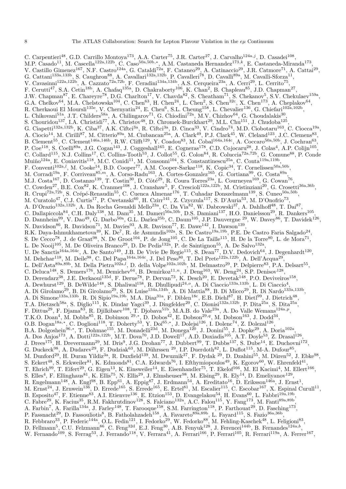C. Carpentieri<sup>48</sup>, G.D. Carrillo Montoya<sup>173</sup>, A.A. Carter<sup>75</sup>, J.R. Carter<sup>27</sup>, J. Carvalho<sup>124a,j</sup>, D. Casadei<sup>108</sup>, M.P. Casado<sup>11</sup>, M. Cascella<sup>122a,122b</sup>, C. Caso<sup>50a,50b,\*</sup>, A.M. Castaneda Hernandez<sup>173,k</sup>, E. Castaneda-Miranda<sup>173</sup>, V. Castillo Gimenez<sup>167</sup>, N.F. Castro<sup>124a</sup>, G. Cataldi<sup>72a</sup>, F. Cataneo<sup>29</sup>, A. Catinaccio<sup>29</sup>, J.R. Catmore<sup>71</sup>, A. Cattai<sup>29</sup>, G. Cattani<sup>133a,133b</sup>, S. Caughron<sup>88</sup>, A. Cavallari<sup>132a,132b</sup>, P. Cavalleri<sup>78</sup>, D. Cavalli<sup>89a</sup>, M. Cavalli-Sforza<sup>11</sup>, V. Cavasinni<sup>122a,122b</sup>, A. Cazzato<sup>72a,72b</sup>, F. Ceradini<sup>134a,134b</sup>, A.S. Cerqueira<sup>23a</sup>, A. Cerri<sup>29</sup>, L. Cerrito<sup>75</sup>, F. Cerutti<sup>47</sup>, S.A. Cetin<sup>18b</sup>, A. Chafaq<sup>135a</sup>, D. Chakraborty<sup>106</sup>, K. Chan<sup>2</sup>, B. Chapleau<sup>85</sup>, J.D. Chapman<sup>27</sup>, J.W. Chapman<sup>87</sup>, E. Chareyre<sup>78</sup>, D.G. Charlton<sup>17</sup>, V. Chavda<sup>82</sup>, S. Cheatham<sup>71</sup>, S. Chekanov<sup>5</sup>, S.V. Chekulaev<sup>159a</sup>, G.A. Chelkov<sup>64</sup>, M.A. Chelstowska<sup>104</sup>, C. Chen<sup>63</sup>, H. Chen<sup>24</sup>, L. Chen<sup>2</sup>, S. Chen<sup>32c</sup>, X. Chen<sup>173</sup>, A. Cheplakov<sup>64</sup>, R. Cherkaoui El Moursli<sup>135e</sup>, V. Chernyatin<sup>24</sup>, E. Cheu<sup>6</sup>, S.L. Cheung<sup>158</sup>, L. Chevalier<sup>136</sup>, G. Chiefari<sup>102a,102b</sup>, L. Chikovani<sup>51a</sup>, J.T. Childers<sup>58a</sup>, A. Chilingarov<sup>71</sup>, G. Chiodini<sup>72a</sup>, M.V. Chizhov<sup>64</sup>, G. Choudalakis<sup>30</sup>, S. Chouridou<sup>137</sup>, I.A. Christidi<sup>77</sup>, A. Christov<sup>48</sup>, D. Chromek-Burckhart<sup>29</sup>, M.L. Chu<sup>151</sup>, J. Chudoba<sup>125</sup>, G. Ciapetti<sup>132a,132b</sup>, K. Ciba<sup>37</sup>, A.K. Ciftci<sup>3a</sup>, R. Ciftci<sup>3a</sup>, D. Cinca<sup>33</sup>, V. Cindro<sup>74</sup>, M.D. Ciobotaru<sup>163</sup>, C. Ciocca<sup>19a</sup>, A. Ciocio<sup>14</sup>, M. Cirilli<sup>87</sup>, M. Citterio<sup>89a</sup>, M. Ciubancan<sup>25a</sup>, A. Clark<sup>49</sup>, P.J. Clark<sup>45</sup>, W. Cleland<sup>123</sup>, J.C. Clemens<sup>83</sup>, B. Clement<sup>55</sup>, C. Clement<sup>146a,146b</sup>, R.W. Clifft<sup>129</sup>, Y. Coadou<sup>83</sup>, M. Cobal<sup>164a,164c</sup>, A. Coccaro<sup>50a,50b</sup>, J. Cochran<sup>63</sup>, P. Coe<sup>118</sup>, S. Coelli<sup>89a</sup>, J.G. Cogan<sup>143</sup>, J. Coggeshall<sup>165</sup>, E. Cogneras<sup>178</sup>, C.D. Cojocaru<sup>28</sup>, J. Colas<sup>4</sup>, A.P. Colijn<sup>105</sup>, C. Collard<sup>115</sup>, N.J. Collins<sup>17</sup>, C. Collins-Tooth<sup>53</sup>, J. Collot<sup>55</sup>, G. Colon<sup>84</sup>, R. Coluccia<sup>72a,72b</sup>, G. Comune<sup>88</sup>, P. Conde Muiño<sup>124a</sup>, E. Coniavitis<sup>118</sup>, M.C. Conidi<sup>11</sup>, M. Consonni<sup>104</sup>, S. Constantinescu<sup>25a</sup>, C. Conta<sup>119a,119b</sup>, F. Conventi<sup>102a,*l*</sup>, M. Cooke<sup>14</sup>, B.D. Cooper<sup>77</sup>, A.M. Cooper-Sarkar<sup>118</sup>, K. Copic<sup>34</sup>, T. Cornelissen<sup>50a,50b</sup>, M. Corradi<sup>19a</sup>, F. Corriveau<sup>85,m</sup>, A. Corso-Radu<sup>163</sup>, A. Cortes-Gonzalez<sup>165</sup>, G. Cortiana<sup>99</sup>, G. Costa<sup>89a</sup>, M.J. Costa<sup>167</sup>, D. Costanzo<sup>139</sup>, T. Costin<sup>30</sup>, D. Côté<sup>29</sup>, R. Coura Torres<sup>23a</sup>, L. Courneyea<sup>169</sup>, G. Cowan<sup>76</sup>, C. Cowden<sup>27</sup>, B.E. Cox<sup>82</sup>, K. Cranmer<sup>108</sup>, J. Cranshaw<sup>5</sup>, F. Crescioli<sup>122a,122b</sup>, M. Cristinziani<sup>20</sup>, G. Crosetti<sup>36a,36b</sup>, R. Crupi<sup>72a,72b</sup>, S. Crépé-Renaudin<sup>55</sup>, C. Cuenca Almenar<sup>176</sup>, T. Cuhadar Donszelmann<sup>139</sup>, S. Cuneo<sup>50a,50b</sup>, M. Curatolo<sup>47</sup>, C.J. Curtis<sup>17</sup>, P. Cwetanski<sup>60</sup>, H. Czirr<sup>141</sup>, Z. Czyczula<sup>117</sup>, S. D'Auria<sup>53</sup>, M. D'Onofrio<sup>73</sup>, A. D'Orazio<sup>132a,132b</sup>, A. Da Rocha Gesualdi Mello<sup>23a</sup>, C. Da Via<sup>82</sup>, W. Dabrowski<sup>37</sup>, A. Dahlhoff<sup>48</sup>, T. Dai<sup>87</sup>, , C. Dallapiccola<sup>84</sup>, C.H. Daly<sup>138</sup>, M. Dam<sup>35</sup>, M. Dameri<sup>50a,50b</sup>, D.S. Damiani<sup>137</sup>, H.O. Danielsson<sup>29</sup>, R. Dankers<sup>105</sup>, D. Dannheim<sup>99</sup>, V. Dao<sup>49</sup>, G. Darbo<sup>50a</sup>, G.L. Darlea<sup>25b</sup>, C. Daum<sup>105</sup>, J.P. Dauvergne <sup>29</sup>, W. Davey<sup>86</sup>, T. Davidek<sup>126</sup>, N. Davidson<sup>86</sup>, R. Davidson<sup>71</sup>, M. Davies<sup>93</sup>, A.R. Davison<sup>77</sup>, E. Dawe<sup>142</sup>, I. Dawson<sup>139</sup>, R.K. Daya-Ishmukhametova<sup>39</sup>, K. De<sup>7</sup>, R. de Asmundis<sup>102a</sup>, S. De Castro<sup>19a,19b</sup>, P.E. De Castro Faria Salgado<sup>24</sup>, S. De Cecco<sup>78</sup>, J. de Graat<sup>98</sup>, N. De Groot<sup>104</sup>, P. de Jong<sup>105</sup>, C. De La Taille<sup>115</sup>, H. De la Torre<sup>80</sup>, L. de Mora<sup>71</sup>, L. De Nooij<sup>105</sup>, M. De Oliveira Branco<sup>29</sup>, D. De Pedis<sup>132a</sup>, P. de Saintignon<sup>55</sup>, A. De Salvo<sup>132a</sup>, U. De Sanctis<sup>164a,164c</sup>, A. De Santo<sup>149</sup>, J.B. De Vivie De Regie<sup>115</sup>, S. Dean<sup>77</sup>, D.V. Dedovich<sup>64</sup>, J. Degenhardt<sup>120</sup>, M. Dehchar<sup>118</sup>, M. Deile<sup>98</sup>, C. Del Papa<sup>164a,164c</sup>, J. Del Peso<sup>80</sup>, T. Del Prete<sup>122a,122b</sup>, A. Dell'Acqua<sup>29</sup>, L. Dell'Asta<sup>89a,89b</sup>, M. Della Pietra<sup>102a, l</sup>, D. della Volpe<sup>102a,102b</sup>, M. Delmastro<sup>29</sup>, P. Delpierre<sup>83</sup>, P.A. Delsart<sup>55</sup>, C. Deluca<sup>148</sup>, S. Demers<sup>176</sup>, M. Demichev<sup>64</sup>, B. Demirkoz<sup>11,n</sup>, J. Deng<sup>163</sup>, W. Deng<sup>24</sup>, S.P. Denisov<sup>128</sup>, D. Derendarz<sup>38</sup>, J.E. Derkaoui<sup>135d</sup>, F. Derue<sup>78</sup>, P. Dervan<sup>73</sup>, K. Desch<sup>20</sup>, E. Devetak<sup>148</sup>, P.O. Deviveiros<sup>158</sup>, A. Dewhurst<sup>129</sup>, B. DeWilde<sup>148</sup>, S. Dhaliwal<sup>158</sup>, R. Dhullipudi<sup>24,0</sup>, A. Di Ciaccio<sup>133a,133b</sup>, L. Di Ciaccio<sup>4</sup>, A. Di Girolamo<sup>29</sup>, B. Di Girolamo<sup>29</sup>, S. Di Luise<sup>134a,134b</sup>, A. Di Mattia<sup>88</sup>, B. Di Micco<sup>29</sup>, R. Di Nardo<sup>133a,133b</sup>, A. Di Simone<sup>133a,133b</sup>, R. Di Sipio<sup>19a,19b</sup>, M.A. Diaz<sup>31a</sup>, F. Diblen<sup>18c</sup>, E.B. Diehl<sup>87</sup>, H. Dietl<sup>99</sup>, J. Dietrich<sup>48</sup>, T.A. Dietzsch<sup>58a</sup>, S. Diglio<sup>115</sup>, K. Dindar Yagci<sup>39</sup>, J. Dingfelder<sup>20</sup>, C. Dionisi<sup>132a,132b</sup>, P. Dita<sup>25a</sup>, S. Dita<sup>25a</sup>, F. Dittus<sup>29</sup>, F. Djama<sup>83</sup>, R. Djilkibaev<sup>108</sup>, T. Djobava<sup>51b</sup>, M.A.B. do Vale<sup>23a</sup>, A. Do Valle Wemans<sup>124a,p</sup>, T.K.O. Doan<sup>4</sup>, M. Dobbs<sup>85</sup>, R. Dobinson <sup>29,\*</sup>, D. Dobos<sup>42</sup>, E. Dobson<sup>29,q</sup>, M. Dobson<sup>163</sup>, J. Dodd<sup>34</sup>, O.B. Dogan<sup>18a,∗</sup>, C. Doglioni<sup>118</sup>, T. Doherty<sup>53</sup>, Y. Doi<sup>65,∗</sup>, J. Dolejsi<sup>126</sup>, I. Dolenc<sup>74</sup>, Z. Dolezal<sup>126</sup>, B.A. Dolgoshein<sup>96,\*</sup>, T. Dohmae<sup>155</sup>, M. Donadelli<sup>23d</sup>, M. Donega<sup>120</sup>, J. Donini<sup>55</sup>, J. Dopke<sup>29</sup>, A. Doria<sup>102a</sup>, A. Dos Anjos<sup>173</sup>, A. Dotti<sup>122a,122b</sup>, M.T. Dova<sup>70</sup>, J.D. Dowell<sup>17</sup>, A.D. Doxiadis<sup>105</sup>, A.T. Doyle<sup>53</sup>, Z. Drasal<sup>126</sup>, J. Drees<sup>175</sup>, H. Drevermann<sup>29</sup>, M. Dris<sup>9</sup>, J.G. Drohan<sup>77</sup>, J. Dubbert<sup>99</sup>, T. Dubbs<sup>137</sup>, S. Dube<sup>14</sup>, E. Duchovni<sup>172</sup>, G. Duckeck<sup>98</sup>, A. Dudarev<sup>29</sup>, F. Dudziak<sup>63</sup>, M. Dührssen <sup>29</sup>, I.P. Duerdoth<sup>82</sup>, L. Duflot<sup>115</sup>, M-A. Dufour<sup>85</sup>, M. Dunford<sup>29</sup>, H. Duran Yildiz<sup>3a</sup>, R. Duxfield<sup>139</sup>, M. Dwuznik<sup>37</sup>, F. Dydak <sup>29</sup>, D. Dzahini<sup>55</sup>, M. Düren<sup>52</sup>, J. Ebke<sup>98</sup>, S. Eckert<sup>48</sup>, S. Eckweiler<sup>81</sup>, K. Edmonds<sup>81</sup>, C.A. Edwards<sup>76</sup>, I. Efthymiopoulos<sup>49</sup>, K. Egorov<sup>60</sup>, W. Ehrenfeld<sup>41</sup>, T. Ehrich<sup>99</sup>, T. Eifert<sup>29</sup>, G. Eigen<sup>13</sup>, K. Einsweiler<sup>14</sup>, E. Eisenhandler<sup>75</sup>, T. Ekelof<sup>166</sup>, M. El Kacimi<sup>4</sup>, M. Ellert<sup>166</sup>, S. Elles<sup>4</sup>, F. Ellinghaus<sup>81</sup>, K. Ellis<sup>75</sup>, N. Ellis<sup>29</sup>, J. Elmsheuser<sup>98</sup>, M. Elsing<sup>29</sup>, R. Ely<sup>14</sup>, D. Emeliyanov<sup>129</sup>, R. Engelmann<sup>148</sup>, A. Engl<sup>98</sup>, B. Epp<sup>61</sup>, A. Eppig<sup>87</sup>, J. Erdmann<sup>54</sup>, A. Ereditato<sup>16</sup>, D. Eriksson<sup>146a</sup>, J. Ernst<sup>1</sup>, M. Ernst<sup>24</sup>, J. Ernwein<sup>136</sup>, D. Errede<sup>165</sup>, S. Errede<sup>165</sup>, E. Ertel<sup>81</sup>, M. Escalier<sup>115</sup>, C. Escobar<sup>167</sup>, X. Espinal Curull<sup>11</sup>, B. Esposito<sup>47</sup>, F. Etienne<sup>83</sup>, A.I. Etienvre<sup>136</sup>, E. Etzion<sup>153</sup>, D. Evangelakou<sup>54</sup>, H. Evans<sup>60</sup>, L. Fabbri<sup>19a,19b</sup>, C. Fabre<sup>29</sup>, K. Facius<sup>35</sup>, R.M. Fakhrutdinov<sup>128</sup>, S. Falciano<sup>132a</sup>, A.C. Falou<sup>115</sup>, Y. Fang<sup>173</sup>, M. Fanti<sup>89a,89b</sup>, A. Farbin<sup>7</sup>, A. Farilla<sup>134a</sup>, J. Farley<sup>148</sup>, T. Farooque<sup>158</sup>, S.M. Farrington<sup>118</sup>, P. Farthouat<sup>29</sup>, D. Fasching<sup>173</sup>, P. Fassnacht<sup>29</sup>, D. Fassouliotis<sup>8</sup>, B. Fatholahzadeh<sup>158</sup>, A. Favareto<sup>89a,89b</sup>, L. Fayard<sup>115</sup>, S. Fazio<sup>36a,36b</sup>, R. Febbraro<sup>33</sup>, P. Federic<sup>144a</sup>, O.L. Fedin<sup>121</sup>, I. Fedorko<sup>29</sup>, W. Fedorko<sup>88</sup>, M. Fehling-Kaschek<sup>48</sup>, L. Feligioni<sup>83</sup>, D. Fellmann<sup>5</sup>, C.U. Felzmann<sup>86</sup>, C. Feng<sup>32d</sup>, E.J. Feng<sup>30</sup>, A.B. Fenyuk<sup>128</sup>, J. Ferencei<sup>144b</sup>, B. Fernandes<sup>124a,b</sup>, W. Fernando<sup>109</sup>, S. Ferrag<sup>53</sup>, J. Ferrando<sup>118</sup>, V. Ferrara<sup>41</sup>, A. Ferrari<sup>166</sup>, P. Ferrari<sup>105</sup>, R. Ferrari<sup>119a</sup>, A. Ferrer<sup>167</sup>,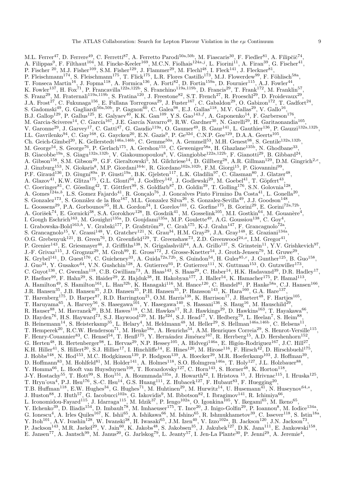M.L. Ferrer<sup>47</sup>, D. Ferrere<sup>49</sup>, C. Ferretti<sup>87</sup>, A. Ferretto Parodi<sup>50a,50b</sup>, M. Fiascaris<sup>30</sup>, F. Fiedler<sup>81</sup>, A. Filipčič<sup>74</sup>, A. Filippas<sup>9</sup>, F. Filthaut<sup>104</sup>, M. Fincke-Keeler<sup>169</sup>, M.C.N. Fiolhais<sup>124a,j</sup>, L. Fiorini<sup>11</sup>, A. Firan<sup>39</sup>, G. Fischer<sup>41</sup>, P. Fischer  $^{20}$ , M.J. Fisher<sup>109</sup>, S.M. Fisher<sup>129</sup>, J. Flammer<sup>29</sup>, M. Flechl<sup>48</sup>, I. Fleck<sup>141</sup>, J. Fleckner<sup>81</sup>, P. Fleischmann<sup>174</sup>, S. Fleischmann<sup>175</sup>, T. Flick<sup>175</sup>, L.R. Flores Castillo<sup>173</sup>, M.J. Flowerdew<sup>99</sup>, F. Föhlisch<sup>58a</sup>, T. Fonseca Martin<sup>16</sup>, J. Fopma<sup>118</sup>, A. Formica<sup>136</sup>, A. Forti<sup>82</sup>, D. Fortin<sup>159a</sup>, D. Fournier<sup>115</sup>, A.J. Fowler<sup>44</sup>, K. Fowler<sup>137</sup>, H. Fox<sup>71</sup>, P. Francavilla<sup>122a,122b</sup>, S. Franchino<sup>119a,119b</sup>, D. Francis<sup>29</sup>, T. Frank<sup>172</sup>, M. Franklin<sup>57</sup>, S. Franz<sup>29</sup>, M. Fraternali<sup>119a,119b</sup>, S. Fratina<sup>120</sup>, J. Freestone<sup>82</sup>, S.T. French<sup>27</sup>, R. Froeschl<sup>29</sup>, D. Froidevaux<sup>29</sup>, J.A. Frost<sup>27</sup>, C. Fukunaga<sup>156</sup>, E. Fullana Torregrosa<sup>29</sup>, J. Fuster<sup>167</sup>, C. Gabaldon<sup>29</sup>, O. Gabizon<sup>172</sup>, T. Gadfort<sup>24</sup>, S. Gadomski<sup>49</sup>, G. Gagliardi<sup>50a,50b</sup>, P. Gagnon<sup>60</sup>, C. Galea<sup>98</sup>, E.J. Gallas<sup>118</sup>, M.V. Gallas<sup>29</sup>, V. Gallo<sup>16</sup>, B.J. Gallop<sup>129</sup>, P. Gallus<sup>125</sup>, E. Galyaev<sup>40</sup>, K.K. Gan<sup>109</sup>, Y.S. Gao<sup>143,f</sup>, A. Gaponenko<sup>14</sup>, F. Garberson<sup>176</sup>, M. Garcia-Sciveres<sup>14</sup>, C. García<sup>167</sup>, J.E. García Navarro<sup>49</sup>, R.W. Gardner<sup>30</sup>, N. Garelli<sup>29</sup>, H. Garitaonandia<sup>105</sup>, V. Garonne<sup>29</sup>, J. Garvey<sup>17</sup>, C. Gatti<sup>47</sup>, G. Gaudio<sup>119a</sup>, O. Gaumer<sup>49</sup>, B. Gaur<sup>141</sup>, L. Gauthier<sup>136</sup>, P. Gauzzi<sup>132a,132b</sup>, I.L. Gavrilenko<sup>94</sup>, C. Gay<sup>168</sup>, G. Gaycken<sup>20</sup>, E.N. Gazis<sup>9</sup>, P. Ge<sup>32d</sup>, C.N.P. Gee<sup>129</sup>, D.A.A. Geerts<sup>105</sup>, Ch. Geich-Gimbel<sup>20</sup>, K. Gellerstedt<sup>146a,146b</sup>, C. Gemme<sup>50a</sup>, A. Gemmell<sup>53</sup>, M.H. Genest<sup>98</sup>, S. Gentile<sup>132a,132b</sup>, M. George<sup>54</sup>, S. George<sup>76</sup>, P. Gerlach<sup>175</sup>, A. Gershon<sup>153</sup>, C. Geweniger<sup>58a</sup>, H. Ghazlane<sup>135b</sup>, N. Ghodbane<sup>33</sup>, B. Giacobbe<sup>19a</sup>, S. Giagu<sup>132a,132b</sup>, V. Giakoumopoulou<sup>8</sup>, V. Giangiobbe<sup>122a,122b</sup>, F. Gianotti<sup>29</sup>, B. Gibbard<sup>24</sup>, A. Gibson<sup>158</sup>, S.M. Gibson<sup>29</sup>, G.F. Gieraltowski<sup>5</sup>, M. Gilchriese<sup>14</sup>, D. Gillberg<sup>28</sup>, A.R. Gillman<sup>129</sup>, D.M. Gingrich<sup>2,e</sup>, J. Ginzburg<sup>153</sup>, N. Giokaris<sup>8</sup>, M.P. Giordani<sup>164c</sup>, R. Giordano<sup>102a,102b</sup>, F.M. Giorgi<sup>15</sup>, P. Giovannini<sup>99</sup>, P.F. Giraud<sup>136</sup>, D. Giugni<sup>89a</sup>, P. Giusti<sup>19a</sup>, B.K. Gjelsten<sup>117</sup>, L.K. Gladilin<sup>97</sup>, C. Glasman<sup>80</sup>, J. Glatzer<sup>48</sup>, A. Glazov<sup>41</sup>, K.W. Glitza<sup>175</sup>, G.L. Glonti<sup>64</sup>, J. Godfrey<sup>142</sup>, J. Godlewski<sup>29</sup>, M. Goebel<sup>41</sup>, T. Göpfert<sup>43</sup>, C. Goeringer<sup>81</sup>, C. Gössling<sup>42</sup>, T. Göttfert<sup>99</sup>, S. Goldfarb<sup>87</sup>, D. Goldin<sup>39</sup>, T. Golling<sup>176</sup>, S.N. Golovnia<sup>128</sup>, A. Gomes<sup>124a,b</sup>, L.S. Gomez Fajardo<sup>41</sup>, R. Gonçalo<sup>76</sup>, J. Goncalves Pinto Firmino Da Costa<sup>41</sup>, L. Gonella<sup>20</sup>, S. Gonzalez<sup>173</sup>, S. González de la Hoz<sup>167</sup>, M.L. Gonzalez Silva<sup>26</sup>, S. Gonzalez-Sevilla<sup>49</sup>, J.J. Goodson<sup>148</sup>, L. Goossens<sup>29</sup>, P.A. Gorbounov<sup>95</sup>, H.A. Gordon<sup>24</sup>, I. Gorelov<sup>103</sup>, G. Gorfine<sup>175</sup>, B. Gorini<sup>29</sup>, E. Gorini<sup>72a,72b</sup> , A. Gorišek<sup>74</sup>, E. Gornicki<sup>38</sup>, S.A. Gorokhov<sup>128</sup>, B. Gosdzik<sup>41</sup>, M. Gosselink<sup>105</sup>, M.I. Gostkin<sup>64</sup>, M. Gouanère<sup>4</sup>, I. Gough Eschrich<sup>163</sup>, M. Gouighri<sup>135a</sup>, D. Goujdami<sup>135a</sup>, M.P. Goulette<sup>49</sup>, A.G. Goussiou<sup>138</sup>, C. Goy<sup>4</sup>, I. Grabowska-Bold<sup>163,h</sup>, V. Grabski<sup>177</sup>, P. Grafström<sup>29</sup>, C. Grah<sup>175</sup>, K-J. Grahn<sup>147</sup>, F. Grancagnolo<sup>72a</sup>, S. Grancagnolo<sup>15</sup>, V. Grassi<sup>148</sup>, V. Gratchev<sup>121</sup>, N. Grau<sup>34</sup>, H.M. Gray<sup>29</sup>, J.A. Gray<sup>148</sup>, E. Graziani<sup>134a</sup>, O.G. Grebenyuk<sup>121</sup>, B. Green<sup>76</sup>, D. Greenfield<sup>129</sup>, T. Greenshaw<sup>73</sup>, Z.D. Greenwood<sup>24,o</sup>, I.M. Gregor<sup>41</sup>, P. Grenier<sup>143</sup>, E. Griesmayer<sup>46</sup>, J. Griffiths<sup>138</sup>, N. Grigalashvili<sup>64</sup>, A.A. Grillo<sup>137</sup>, S. Grinstein<sup>11</sup>, Y.V. Grishkevich<sup>97</sup>, J.-F. Grivaz<sup>115</sup>, J. Grognuz<sup>29</sup>, M. Groh<sup>99</sup>, E. Gross<sup>172</sup>, J. Grosse-Knetter<sup>54</sup>, J. Groth-Jensen<sup>79</sup>, M. Gruwe<sup>29</sup>, K. Grybel<sup>141</sup>, D. Guest<sup>176</sup>, C. Guicheney<sup>33</sup>, A. Guida<sup>72a,72b</sup>, S. Guindon<sup>54</sup>, H. Guler<sup>85,r</sup>, J. Gunther<sup>125</sup>, B. Guo<sup>158</sup>, J. Guo<sup>34</sup>, Y. Gusakov<sup>64</sup>, V.N. Gushchin<sup>128</sup>, A. Gutierrez<sup>93</sup>, P. Gutierrez<sup>111</sup>, N. Guttman<sup>153</sup>, O. Gutzwiller<sup>173</sup>, C. Guyot<sup>136</sup>, C. Gwenlan<sup>118</sup>, C.B. Gwilliam<sup>73</sup>, A. Haas<sup>143</sup>, S. Haas<sup>29</sup>, C. Haber<sup>14</sup>, H.K. Hadavand<sup>39</sup>, D.R. Hadley<sup>17</sup>, P. Haefner<sup>99</sup>, F. Hahn<sup>29</sup>, S. Haider<sup>29</sup>, Z. Hajduk<sup>38</sup>, H. Hakobyan<sup>177</sup>, J. Haller<sup>54</sup>, K. Hamacher<sup>175</sup>, P. Hamal<sup>113</sup>, A. Hamilton<sup>49</sup>, S. Hamilton<sup>161</sup>, L. Han<sup>32b</sup>, K. Hanagaki<sup>116</sup>, M. Hance<sup>120</sup>, C. Handel<sup>81</sup>, P. Hanke<sup>58a</sup>, C.J. Hansen<sup>166</sup>, J.R. Hansen<sup>35</sup>, J.B. Hansen<sup>35</sup>, J.D. Hansen<sup>35</sup>, P.H. Hansen<sup>35</sup>, P. Hansson<sup>143</sup>, K. Hara<sup>160</sup>, G.A. Hare<sup>137</sup>, T. Harenberg<sup>175</sup>, D. Harper<sup>87</sup>, R.D. Harrington<sup>21</sup>, O.M. Harris<sup>138</sup>, K. Harrison<sup>17</sup>, J. Hartert<sup>48</sup>, F. Hartjes<sup>105</sup>, T. Haruyama<sup>65</sup>, A. Harvey<sup>56</sup>, S. Hasegawa<sup>101</sup>, Y. Hasegawa<sup>140</sup>, S. Hassani<sup>136</sup>, S. Haug<sup>16</sup>, M. Hauschild<sup>29</sup>, R. Hauser<sup>88</sup>, M. Havranek<sup>20</sup>, B.M. Hawes<sup>118</sup>, C.M. Hawkes<sup>17</sup>, R.J. Hawkings<sup>29</sup>, D. Hawkins<sup>163</sup>, T. Hayakawa<sup>66</sup>, D. Hayden<sup>76</sup>, H.S. Hayward<sup>73</sup>, S.J. Haywood<sup>129</sup>, M. He<sup>32d</sup>, S.J. Head<sup>17</sup>, V. Hedberg<sup>79</sup>, L. Heelan<sup>7</sup>, S. Heim<sup>88</sup>, B. Heinemann<sup>14</sup>, S. Heisterkamp<sup>35</sup>, L. Helary<sup>4</sup>, M. Heldmann<sup>48</sup>, M. Heller<sup>29</sup>, S. Hellman<sup>146a,146b</sup>, C. Helsens<sup>11</sup>, T. Hemperek<sup>20</sup>, R.C.W. Henderson<sup>71</sup>, M. Henke<sup>58a</sup>, A. Henrichs<sup>54</sup>, A.M. Henriques Correia<sup>29</sup>, S. Henrot-Versille<sup>115</sup>, F. Henry-Couannier<sup>83</sup>, C. Hensel<sup>54</sup>, T. Henß<sup>175</sup>, Y. Hernández Jiménez<sup>167</sup>, R. Herrberg<sup>15</sup>, A.D. Hershenhorn<sup>152</sup>, G. Herten<sup>48</sup>, R. Hertenberger<sup>98</sup>, L. Hervas<sup>29</sup>, N.P. Hessey<sup>105</sup>, A. Hidvegi<sup>146a</sup>, E. Higón-Rodriguez<sup>167</sup>, J.C. Hill<sup>27</sup>, K.H. Hiller<sup>41</sup>, S. Hillert<sup>20</sup>, S.J. Hillier<sup>17</sup>, I. Hinchliffe<sup>14</sup>, E. Hines<sup>120</sup>, M. Hirose<sup>116</sup>, F. Hirsch<sup>42</sup>, D. Hirschbuehl<sup>175</sup>, J. Hobbs<sup>148</sup>, N. Hod<sup>153</sup>, M.C. Hodgkinson<sup>139</sup>, P. Hodgson<sup>139</sup>, A. Hoecker<sup>29</sup>, M.R. Hoeferkamp<sup>103</sup>, J. Hoffman<sup>39</sup>, D. Hoffmann<sup>83</sup>, M. Hohlfeld<sup>81</sup>, M. Holder<sup>141</sup>, A. Holmes<sup>118</sup>, S.O. Holmgren<sup>146a</sup>, T. Holy<sup>127</sup>, J.L. Holzbauer<sup>88</sup>, Y. Homma<sup>66</sup>, L. Hooft van Huysduynen<sup>108</sup>, T. Horazdovsky<sup>127</sup>, C. Horn<sup>143</sup>, S. Horner<sup>48</sup>, K. Horton<sup>118</sup>, J-Y. Hostachy<sup>55</sup>, T. Hott<sup>99</sup>, S. Hou<sup>151</sup>, A. Hoummada<sup>135a</sup>, J. Howarth<sup>82</sup>, I. Hristova <sup>15</sup>, J. Hrivnac<sup>115</sup>, I. Hruska<sup>125</sup>, T. Hryn'ova<sup>4</sup>, P.J. Hsu<sup>176</sup>, S.-C. Hsu<sup>14</sup>, G.S. Huang<sup>111</sup>, Z. Hubacek<sup>127</sup>, F. Hubaut<sup>83</sup>, F. Huegging<sup>20</sup>, T.B. Huffman<sup>118</sup>, E.W. Hughes<sup>34</sup>, G. Hughes<sup>71</sup>, M. Huhtinen<sup>29</sup>, M. Hurwitz<sup>14</sup>, U. Husemann<sup>41</sup>, N. Huseynov<sup>64,s</sup>, J. Huston<sup>88</sup>, J. Huth<sup>57</sup>, G. Iacobucci<sup>102a</sup>, G. Iakovidis<sup>9</sup>, M. Ibbotson<sup>82</sup>, I. Ibragimov<sup>141</sup>, R. Ichimiya<sup>66</sup>, L. Iconomidou-Fayard<sup>115</sup>, J. Idarraga<sup>115</sup>, M. Idzik<sup>37</sup>, P. Iengo<sup>102a</sup>, O. Igonkina<sup>105</sup>, Y. Ikegami<sup>65</sup>, M. Ikeno<sup>65</sup>, Y. Ilchenko<sup>39</sup>, D. Iliadis<sup>154</sup>, D. Imbault<sup>78</sup>, M. Imhaeuser<sup>175</sup>, T. Ince<sup>20</sup>, J. Inigo-Golfin<sup>29</sup>, P. Ioannou<sup>8</sup>, M. Iodice<sup>134a</sup>, G. Ionescu<sup>4</sup>, A. Irles Quiles<sup>167</sup>, K. Ishii<sup>65</sup>, A. Ishikawa<sup>66</sup>, M. Ishino<sup>65</sup>, R. Ishmukhametov<sup>39</sup>, C. Issever<sup>118</sup>, S. Istin<sup>18a</sup>, Y. Itoh<sup>101</sup>, A.V. Ivashin<sup>128</sup>, W. Iwanski<sup>38</sup>, H. Iwasaki<sup>65</sup>, J.M. Izen<sup>40</sup>, V. Izzo<sup>102a</sup>, B. Jackson<sup>120</sup>, J.N. Jackson<sup>73</sup>, P. Jackson<sup>143</sup>, M.R. Jaekel<sup>29</sup>, V. Jain<sup>60</sup>, K. Jakobs<sup>48</sup>, S. Jakobsen<sup>35</sup>, J. Jakubek<sup>127</sup>, D.K. Jana<sup>111</sup>, E. Jankowski<sup>158</sup>, E. Jansen<sup>77</sup>, A. Jantsch<sup>99</sup>, M. Janus<sup>20</sup>, G. Jarlskog<sup>79</sup>, L. Jeanty<sup>57</sup>, I. Jen-La Plante<sup>30</sup>, P. Jenni<sup>29</sup>, A. Jeremie<sup>4</sup>,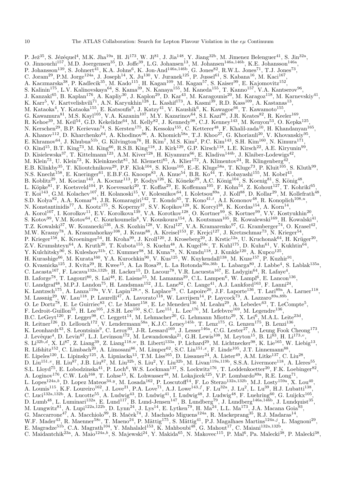P. Jež<sup>35</sup>, S. Jézéquel<sup>4</sup>, M.K. Jha<sup>19a</sup>, H. Ji<sup>173</sup>, W. Ji<sup>81</sup>, J. Jia<sup>148</sup>, Y. Jiang<sup>32b</sup>, M. Jimenez Belenguer<sup>41</sup>, S. Jin<sup>32a</sup>, O. Jinnouchi<sup>157</sup>, M.D. Joergensen<sup>35</sup>, D. Joffe<sup>39</sup>, L.G. Johansen<sup>13</sup>, M. Johansen<sup>146a,146b</sup>, K.E. Johansson<sup>146a</sup>, P. Johansson<sup>139</sup>, S. Johnert<sup>41</sup>, K.A. Johns<sup>6</sup>, K. Jon-And<sup>146a,146b</sup>, G. Jones<sup>82</sup>, R.W.L. Jones<sup>71</sup>, T.J. Jones<sup>73</sup>, C. Joram<sup>29</sup>, P.M. Jorge<sup>124a</sup>, J. Joseph<sup>14</sup>, X. Ju<sup>130</sup>, V. Juranek<sup>125</sup>, P. Jussel<sup>61</sup>, S. Kabana<sup>16</sup>, M. Kaci<sup>167</sup>, A. Kaczmarska<sup>38</sup>, P. Kadlecik<sup>35</sup>, M. Kado<sup>115</sup>, H. Kagan<sup>109</sup>, M. Kagan<sup>57</sup>, S. Kaiser<sup>99</sup>, E. Kajomovitz<sup>152</sup>, S. Kalinin<sup>175</sup>, L.V. Kalinovskaya<sup>64</sup>, S. Kama<sup>39</sup>, N. Kanaya<sup>155</sup>, M. Kaneda<sup>155</sup>, T. Kanno<sup>157</sup>, V.A. Kantserov<sup>96</sup>, J. Kanzaki<sup>65</sup>, B. Kaplan<sup>176</sup>, A. Kapliy<sup>30</sup>, J. Kaplon<sup>29</sup>, D. Kar<sup>43</sup>, M. Karagounis<sup>20</sup>, M. Karagoz<sup>118</sup>, M. Karnevskiy<sup>41</sup>, K. Karr<sup>5</sup>, V. Kartvelishvili<sup>71</sup>, A.N. Karyukhin<sup>128</sup>, L. Kashif<sup>173</sup>, A. Kasmi<sup>39</sup>, R.D. Kass<sup>109</sup>, A. Kastanas<sup>13</sup>, M. Kataoka<sup>4</sup>, Y. Kataoka<sup>155</sup>, E. Katsoufis<sup>9</sup>, J. Katzy<sup>41</sup>, V. Kaushik<sup>6</sup>, K. Kawagoe<sup>66</sup>, T. Kawamoto<sup>155</sup>, G. Kawamura<sup>81</sup>, M.S. Kayl<sup>105</sup>, V.A. Kazanin<sup>107</sup>, M.Y. Kazarinov<sup>64</sup>, S.I. Kazi<sup>86</sup>, J.R. Keates<sup>82</sup>, R. Keeler<sup>169</sup>, R. Kehoe<sup>39</sup>, M. Keil<sup>54</sup>, G.D. Kekelidze<sup>64</sup>, M. Kelly<sup>82</sup>, J. Kennedy<sup>98</sup>, C.J. Kenney<sup>143</sup>, M. Kenyon<sup>53</sup>, O. Kepka<sup>125</sup>, N. Kerschen<sup>29</sup>, B.P. Kerševan<sup>74</sup>, S. Kersten<sup>175</sup>, K. Kessoku<sup>155</sup>, C. Ketterer<sup>48</sup>, F. Khalil-zada<sup>10</sup>, H. Khandanyan<sup>165</sup>, A. Khanov<sup>112</sup>, D. Kharchenko<sup>64</sup>, A. Khodinov<sup>96</sup>, A. Khomich<sup>58a</sup>, T.J. Khoo<sup>27</sup>, G. Khoriauli<sup>20</sup>, V. Khovanskiy<sup>95</sup>, E. Khramov $^{64}$ , J. Khubua<sup>51b</sup>, G. Kilvington<sup>76</sup>, H. Kim<sup>7</sup>, M.S. Kim<sup>2</sup>, P.C. Kim<sup>143</sup>, S.H. Kim<sup>160</sup>, N. Kimura<sup>171</sup>, O. Kind<sup>15</sup>, B.T. King<sup>73</sup>, M. King<sup>66</sup>, R.S.B. King<sup>118</sup>, J. Kirk<sup>129</sup>, G.P. Kirsch<sup>118</sup>, L.E. Kirsch<sup>22</sup>, A.E. Kiryunin<sup>99</sup>, D. Kisielewska<sup>37</sup>, T. Kittelmann<sup>123</sup>, A.M. Kiver<sup>128</sup>, H. Kiyamura<sup>66</sup>, E. Kladiva<sup>144b</sup>, J. Klaiber-Lodewigs<sup>42</sup>, M. Klein<sup>73</sup>, U. Klein<sup>73</sup>, K. Kleinknecht<sup>81</sup>, M. Klemetti<sup>85</sup>, A. Klier<sup>172</sup>, A. Klimentov<sup>24</sup>, R. Klingenberg<sup>42</sup>, E.B. Klinkby<sup>35</sup>, T. Klioutchnikova<sup>29</sup>, P.F. Klok<sup>104</sup>, S. Klous<sup>105</sup>, E.-E. Kluge<sup>58a</sup>, T. Kluge<sup>73</sup>, P. Kluit<sup>105</sup>, S. Kluth<sup>99</sup>, N.S. Knecht<sup>158</sup>, E. Kneringer<sup>61</sup>, E.B.F.G. Knoops<sup>83</sup>, A. Knue<sup>54</sup>, B.R. Ko<sup>44</sup>, T. Kobayashi<sup>155</sup>, M. Kobel<sup>43</sup>, B. Koblitz<sup>29</sup>, M. Kocian<sup>143</sup>, A. Kocnar<sup>113</sup>, P. Kodys<sup>126</sup>, K. Köneke<sup>29</sup>, A.C. König<sup>104</sup>, S. Koenig<sup>81</sup>, S. König<sup>48</sup>, L. Köpke $^{81}$ , F. Koetsveld $^{104}$ , P. Koevesarki $^{20}$ , T. Koffas $^{29}$ , E. Koffeman $^{105}$ , F. Kohn $^{54}$ , Z. Kohout $^{127}$ , T. Kohriki $^{65}$ , T. Koi<sup>143</sup>, G.M. Kolachev<sup>107</sup>, H. Kolanoski<sup>15</sup>, V. Kolesnikov<sup>64</sup>, I. Koletsou<sup>89a</sup>, J. Koll<sup>88</sup>, D. Kollar<sup>29</sup>, M. Kollefrath<sup>48</sup>, S.D. Kolya<sup>82</sup>, A.A. Komar<sup>94</sup>, J.R. Komaragiri<sup>142</sup>, T. Kondo<sup>65</sup>, T. Kono<sup>41,t</sup>, A.I. Kononov<sup>48</sup>, R. Konoplich<sup>108,u</sup>, N. Konstantinidis<sup>77</sup>, A. Kootz<sup>175</sup>, S. Koperny<sup>37</sup>, S.V. Kopikov<sup>128</sup>, K. Korcyl<sup>38</sup>, K. Kordas<sup>154</sup>, A. Korn<sup>14</sup>, A. Korol<sup>107</sup>, I. Korolkov<sup>11</sup>, E.V. Korolkova<sup>139</sup>, V.A. Korotkov<sup>128</sup>, O. Kortner<sup>99</sup>, S. Kortner<sup>99</sup>, V.V. Kostyukhin<sup>20</sup>, S. Kotov<sup>99</sup>, V.M. Kotov<sup>64</sup>, C. Kourkoumelis<sup>8</sup>, V. Kouskoura<sup>154</sup>, A. Koutsman<sup>105</sup>, R. Kowalewski<sup>169</sup>, H. Kowalski<sup>41</sup>, T.Z. Kowalski<sup>37</sup>, W. Kozanecki<sup>136</sup>, A.S. Kozhin<sup>128</sup>, V. Kral<sup>127</sup>, V.A. Kramarenko<sup>97</sup>, G. Kramberger<sup>74</sup>, O. Krasel<sup>42</sup>, M.W. Krasny<sup>78</sup>, A. Krasznahorkay<sup>108</sup>, J. Kraus<sup>88</sup>, A. Kreisel<sup>153</sup>, F. Krejci<sup>127</sup>, J. Kretzschmar<sup>73</sup>, N. Krieger<sup>54</sup>, P. Krieger<sup>158</sup>, K. Kroeninger<sup>54</sup>, H. Kroha<sup>99</sup>, J. Kroll<sup>120</sup>, J. Kroseberg<sup>20</sup>, J. Krstic<sup>12a</sup>, U. Kruchonak<sup>64</sup>, H. Krüger<sup>20</sup>, Z.V. Krumshteyn<sup>64</sup>, A. Kruth<sup>20</sup>, T. Kubota<sup>155</sup>, S. Kuehn<sup>48</sup>, A. Kugel<sup>58c</sup>, T. Kuhl<sup>175</sup>, D. Kuhn<sup>61</sup>, V. Kukhtin<sup>64</sup>, Y. Kulchitsky<sup>90</sup>, S. Kuleshov<sup>31b</sup>, C. Kummer<sup>98</sup>, M. Kuna<sup>78</sup>, N. Kundu<sup>118</sup>, J. Kunkle<sup>120</sup>, A. Kupco<sup>125</sup>, H. Kurashige $^{66}$ , M. Kurata<sup>160</sup>, Y.A. Kurochkin<sup>90</sup>, V. Kus<sup>125</sup>, W. Kuykendall<sup>138</sup>, M. Kuze<sup>157</sup>, P. Kuzhir<sup>91</sup>, O. Kvasnicka<sup>125</sup>, J. Kvita<sup>29</sup>, R. Kwee<sup>15</sup>, A. La Rosa<sup>29</sup>, L. La Rotonda<sup>36a,36b</sup>, L. Labarga<sup>80</sup>, J. Labbe<sup>4</sup>, S. Lablak<sup>135a</sup>, C. Lacasta<sup>167</sup>, F. Lacava<sup>132a,132b</sup>, H. Lacker<sup>15</sup>, D. Lacour<sup>78</sup>, V.R. Lacuesta<sup>167</sup>, E. Ladygin<sup>64</sup>, R. Lafaye<sup>4</sup>, B. Laforge<sup>78</sup>, T. Lagouri<sup>80</sup>, S. Lai<sup>48</sup>, E. Laisne<sup>55</sup>, M. Lamanna<sup>29</sup>, C.L. Lampen<sup>6</sup>, W. Lampl<sup>6</sup>, E. Lancon<sup>136</sup>, U. Landgraf<sup>48</sup>, M.P.J. Landon<sup>75</sup>, H. Landsman<sup>152</sup>, J.L. Lane<sup>82</sup>, C. Lange<sup>41</sup>, A.J. Lankford<sup>163</sup>, F. Lanni<sup>24</sup>, K. Lantzsch<sup>175</sup>, A. Lanza<sup>119a</sup>, V.V. Lapin<sup>128,\*</sup>, S. Laplace<sup>78</sup>, C. Lapoire<sup>20</sup>, J.F. Laporte<sup>136</sup>, T. Lari<sup>89a</sup>, A. Larner<sup>118</sup>, M. Lassnig<sup>29</sup>, W. Lau<sup>118</sup>, P. Laurelli<sup>47</sup>, A. Lavorato<sup>118</sup>, W. Lavrijsen<sup>14</sup>, P. Laycock<sup>73</sup>, A. Lazzaro<sup>89a,89b</sup>, O. Le Dortz<sup>78</sup>, E. Le Guirriec<sup>83</sup>, C. Le Maner<sup>158</sup>, E. Le Menedeu<sup>136</sup>, M. Leahu<sup>29</sup>, A. Lebedev<sup>63</sup>, T. LeCompte<sup>5</sup>, F. Ledroit-Guillon<sup>55</sup>, H. Lee<sup>105</sup>, J.S.H. Lee<sup>150</sup>, S.C. Lee<sup>151</sup>, L. Lee<sup>176</sup>, M. Lefebvre<sup>169</sup>, M. Legendre<sup>136</sup>, B.C. LeGeyt<sup>120</sup>, F. Legger<sup>98</sup>, C. Leggett<sup>14</sup>, M. Lehmacher<sup>20</sup>, G. Lehmann Miotto<sup>29</sup>, X. Lei<sup>6</sup>, M.A.L. Leite<sup>23d</sup>, R. Leitner<sup>126</sup>, D. Lellouch<sup>172</sup>, V. Lendermann<sup>58a</sup>, K.J.C. Leney<sup>145b</sup>, T. Lenz<sup>175</sup>, G. Lenzen<sup>175</sup>, B. Lenzi<sup>136</sup>, K. Leonhardt<sup>43</sup>, S. Leontsinis<sup>9</sup>, C. Leroy<sup>93</sup>, J-R. Lessard<sup>169</sup>, J. Lesser<sup>146a</sup>, C.G. Lester<sup>27</sup>, A. Leung Fook Cheong<sup>173</sup>, J. Levêque<sup>4</sup>, D. Levin<sup>87</sup>, L.J. Levinson<sup>172</sup>, M. Lewandowska<sup>21</sup>, G.H. Lewis<sup>108</sup>, M. Leyton<sup>15</sup>, B. Li<sup>83</sup>, H. Li<sup>173,*v*</sup>, S. Li<sup>32b,d</sup>, X. Li<sup>87</sup>, Z. Liang<sup>39</sup>, Z. Liang<sup>118,w</sup>, B. Liberti<sup>133a</sup>, P. Lichard<sup>29</sup>, M. Lichtnecker<sup>98</sup>, K. Lie<sup>165</sup>, W. Liebig<sup>13</sup>, R. Lifshitz<sup>152</sup>, C. Limbach<sup>20</sup>, A. Limosani<sup>86</sup>, M. Limper<sup>62</sup>, S.C. Lin<sup>151,x</sup>, F. Linde<sup>105</sup>, J.T. Linnemann<sup>88</sup>, E. Lipeles<sup>120</sup>, L. Lipinsky<sup>125</sup>, A. Lipniacka<sup>13</sup>, T.M. Liss<sup>165</sup>, D. Lissauer<sup>24</sup>, A. Lister<sup>49</sup>, A.M. Litke<sup>137</sup>, C. Liu<sup>28</sup>, D. Liu<sup>151,</sup><sup>v</sup>, H. Liu<sup>87</sup>, J.B. Liu<sup>87</sup>, M. Liu<sup>32b</sup>, S. Liu<sup>2</sup>, Y. Liu<sup>32b</sup>, M. Livan<sup>119a,119b</sup>, S.S.A. Livermore<sup>118</sup>, A. Lleres<sup>55</sup>, S.L. Lloyd<sup>75</sup>, E. Lobodzinska<sup>41</sup>, P. Loch<sup>6</sup>, W.S. Lockman<sup>137</sup>, S. Lockwitz<sup>176</sup>, T. Loddenkoetter<sup>20</sup>, F.K. Loebinger<sup>82</sup>, A. Loginov<sup>176</sup>, C.W. Loh<sup>168</sup>, T. Lohse<sup>15</sup>, K. Lohwasser<sup>48</sup>, M. Lokajicek<sup>125</sup>, V.P. Lombardo<sup>89a</sup>, R.E. Long<sup>71</sup>, L. Lopes<sup>124a,b</sup>, D. Lopez Mateos<sup>34,y</sup>, M. Losada<sup>162</sup>, P. Loscutoff<sup>14</sup>, F. Lo Sterzo<sup>132a,132b</sup>, M.J. Losty<sup>159a</sup>, X. Lou<sup>40</sup>, A. Lounis<sup>115</sup>, K.F. Loureiro<sup>162</sup>, J. Love<sup>21</sup>, P.A. Love<sup>71</sup>, A.J. Lowe<sup>143,f</sup>, F. Lu<sup>32a</sup>, J. Lu<sup>2</sup>, L. Lu<sup>39</sup>, H.J. Lubatti<sup>138</sup>, C. Luci<sup>132a,132b</sup>, A. Lucotte<sup>55</sup>, A. Ludwig<sup>43</sup>, D. Ludwig<sup>41</sup>, I. Ludwig<sup>48</sup>, J. Ludwig<sup>48</sup>, F. Luehring<sup>60</sup>, G. Luijckx<sup>105</sup>, D. Lumb<sup>48</sup>, L. Luminari<sup>132a</sup>, E. Lund<sup>117</sup>, B. Lund-Jensen<sup>147</sup>, B. Lundberg<sup>79</sup>, J. Lundberg<sup>146a,146b</sup>, J. Lundquist<sup>35</sup>, M. Lungwitz<sup>81</sup>, A. Lupi<sup>122a,122b</sup>, D. Lynn<sup>24</sup>, J. Lys<sup>14</sup>, E. Lytken<sup>79</sup>, H. Ma<sup>24</sup>, L.L. Ma<sup>173</sup>, J.A. Macana Goia<sup>93</sup>, G. Maccarrone<sup>47</sup>, A. Macchiolo<sup>99</sup>, B. Maček<sup>74</sup>, J. Machado Miguens<sup>124a</sup>, R. Mackeprang<sup>35</sup>, R.J. Madaras<sup>14</sup>, W.F. Mader<sup>43</sup>, R. Maenner<sup>58c</sup>, T. Maeno<sup>24</sup>, P. Mättig<sup>175</sup>, S. Mättig<sup>41</sup>, P.J. Magalhaes Martins<sup>124a,j</sup>, L. Magnoni<sup>29</sup>, E. Magradze<sup>51b</sup>, C.A. Magrath<sup>104</sup>, Y. Mahalalel<sup>153</sup>, K. Mahboubi<sup>48</sup>, G. Mahout<sup>17</sup>, C. Maiani<sup>132a,132b</sup>, C. Maidantchik<sup>23a</sup>, A. Maio<sup>124a,b</sup>, S. Majewski<sup>24</sup>, Y. Makida<sup>65</sup>, N. Makovec<sup>115</sup>, P. Mal<sup>6</sup>, Pa. Malecki<sup>38</sup>, P. Malecki<sup>38</sup>,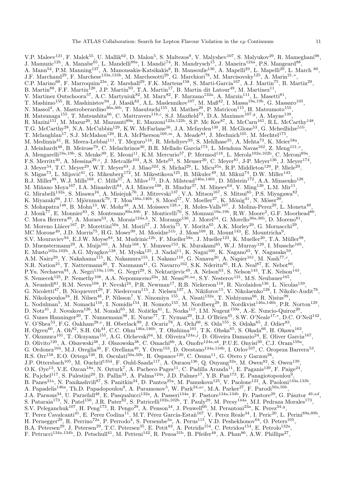V.P. Maleev<sup>121</sup>, F. Malek<sup>55</sup>, U. Mallik<sup>62</sup>, D. Malon<sup>5</sup>, S. Maltezos<sup>9</sup>, V. Malyshev<sup>107</sup>, S. Malyukov<sup>29</sup>, R. Mameghani<sup>98</sup>, J. Mamuzic<sup>12b</sup>, A. Manabe<sup>65</sup>, L. Mandelli<sup>89a</sup>, I. Mandić<sup>74</sup>, R. Mandrysch<sup>15</sup>, J. Maneira<sup>124a</sup>, P.S. Mangeard<sup>88</sup>, A. Mann<sup>54</sup>, P.M. Manning<sup>137</sup>, A. Manousakis-Katsikakis<sup>8</sup>, B. Mansoulie<sup>136</sup>, A. Mapelli<sup>29</sup>, L. Mapelli<sup>29</sup>, L. March <sup>80</sup>, J.F. Marchand<sup>29</sup>, F. Marchese<sup>133a,133b</sup>, M. Marchesotti<sup>29</sup>, G. Marchiori<sup>78</sup>, M. Marcisovsky<sup>125</sup>, A. Marin<sup>21,\*</sup>, C.P. Marino<sup>60</sup>, F. Marroquim<sup>23a</sup>, Z. Marshall<sup>29</sup>, F.K. Martens<sup>158</sup>, S. Marti-Garcia<sup>167</sup>, A.J. Martin<sup>75</sup>, B. Martin<sup>29</sup>, B. Martin<sup>88</sup>, F.F. Martin<sup>120</sup>, J.P. Martin<sup>93</sup>, T.A. Martin<sup>17</sup>, B. Martin dit Latour<sup>49</sup>, M. Martinez<sup>11</sup>, V. Martinez Outschoorn<sup>57</sup>, A.C. Martyniuk<sup>82</sup>, M. Marx<sup>82</sup>, F. Marzano<sup>132a</sup>, A. Marzin<sup>111</sup>, L. Masetti<sup>81</sup>, T. Mashimo<sup>155</sup>, R. Mashinistov<sup>94</sup>, J. Masik<sup>82</sup>, A.L. Maslennikov<sup>107</sup>, M. Maß<sup>42</sup>, I. Massa<sup>19a,19b</sup>, G. Massaro<sup>105</sup>, N. Massol<sup>4</sup>, A. Mastroberardino<sup>36a,36b</sup>, T. Masubuchi<sup>155</sup>, M. Mathes<sup>20</sup>, P. Matricon<sup>115</sup>, H. Matsumoto<sup>155</sup>, H. Matsunaga<sup>155</sup>, T. Matsushita<sup>66</sup>, C. Mattravers<sup>118,c</sup>, S.J. Maxfield<sup>73</sup>, D.A. Maximov<sup>107,g</sup>, A. Mayne<sup>139</sup>, R. Mazini<sup>151</sup>, M. Mazur<sup>20</sup>, M. Mazzanti<sup>89a</sup>, E. Mazzoni<sup>122a,122b</sup>, S.P. Mc Kee<sup>87</sup>, A. McCarn<sup>165</sup>, R.L. McCarthy<sup>148</sup>, T.G. McCarthy<sup>28</sup>, N.A. McCubbin<sup>129</sup>, K.W. McFarlane<sup>56</sup>, J.A. Mcfayden<sup>139</sup>, H. McGlone<sup>53</sup>, G. Mchedlidze<sup>51b</sup>, T. Mclaughlan<sup>17</sup>, S.J. McMahon<sup>129</sup>, R.A. McPherson<sup>169,*m*</sup>, A. Meade<sup>84</sup>, J. Mechnich<sup>105</sup>, M. Mechtel<sup>175</sup>, M. Medinnis<sup>41</sup>, R. Meera-Lebbai<sup>111</sup>, T. Meguro<sup>116</sup>, R. Mehdiyev<sup>93</sup>, S. Mehlhase<sup>35</sup>, A. Mehta<sup>73</sup>, K. Meier<sup>58a</sup>, J. Meinhardt<sup>48</sup>, B. Meirose<sup>79</sup>, C. Melachrinos<sup>30</sup>, B.R. Mellado Garcia<sup>173</sup>, L. Mendoza Navas<sup>162</sup>, Z. Meng<sup>151,*v*</sup>, A. Mengarelli<sup>19a,19b</sup>, S. Menke<sup>99</sup>, E. Meoni<sup>11</sup>, K.M. Mercurio<sup>57</sup>, P. Mermod<sup>118</sup>, L. Merola<sup>102a,102b</sup>, C. Meroni<sup>89a</sup>, F.S. Merritt<sup>30</sup>, A. Messina<sup>29,z</sup>, J. Metcalfe<sup>103</sup>, A.S. Mete<sup>63</sup>, S. Meuser<sup>20</sup>, C. Meyer<sup>81</sup>, J-P. Meyer<sup>136</sup>, J. Meyer<sup>174</sup>, J. Meyer<sup>54</sup>, T.C. Meyer<sup>29</sup>, W.T. Meyer<sup>63</sup>, J. Miao<sup>32d</sup>, S. Michal<sup>29</sup>, L. Micu<sup>25a</sup>, R.P. Middleton<sup>129</sup>, P. Miele<sup>29</sup>, S. Migas<sup>73</sup>, L. Mijović<sup>41</sup>, G. Mikenberg<sup>172</sup>, M. Mikestikova<sup>125</sup>, B. Mikulec<sup>49</sup>, M. Mikuž<sup>74</sup>, D.W. Miller<sup>143</sup>, R.J. Miller<sup>88</sup>, W.J. Mills<sup>168</sup>, C. Mills<sup>57</sup>, A. Milov<sup>172</sup>, D.A. Milstead<sup>146a,146b</sup>, D. Milstein<sup>172</sup>, A.A. Minaenko<sup>128</sup>, M. Miñano Moya<sup>167</sup>, I.A. Minashvili<sup>64</sup>, A.I. Mincer<sup>108</sup>, B. Mindur<sup>37</sup>, M. Mineev<sup>64</sup>, Y. Ming<sup>130</sup>, L.M. Mir<sup>11</sup>, G. Mirabelli<sup>132a</sup>, S. Misawa<sup>24</sup>, A. Misiejuk<sup>76</sup>, J. Mitrevski<sup>137</sup>, V.A. Mitsou<sup>167</sup>, S. Mitsui<sup>65</sup>, P.S. Miyagawa<sup>82</sup>, K. Miyazaki $^{66}$ , J.U. Mjörnmark $^{79}$ , T. Moa $^{146a,146b}$ , S. Moed $^{57}$ , V. Moeller $^{27}$ , K. Mönig $^{41}$ , N. Möser $^{20}$ , S. Mohapatra<sup>148</sup>, B. Mohn<sup>13</sup>, W. Mohr<sup>48</sup>, A.M. Moisseev<sup>128,\*</sup>, R. Moles-Valls<sup>167</sup>, J. Molina-Perez<sup>29</sup>, L. Moneta<sup>49</sup>, J. Monk<sup>77</sup>, E. Monnier<sup>83</sup>, S. Montesano<sup>89a,89b</sup>, F. Monticelli<sup>70</sup>, S. Monzani<sup>19a,19b</sup>, R.W. Moore<sup>2</sup>, G.F. Moorhead<sup>86</sup>, C. Mora Herrera<sup>49</sup>, A. Moraes<sup>53</sup>, A. Morais<sup>124a,b</sup>, N. Morange<sup>136</sup>, J. Morel<sup>54</sup>, G. Morello<sup>36a,36b</sup>, D. Moreno<sup>81</sup>, M. Moreno Llácer<sup>167</sup>, P. Morettini<sup>50a</sup>, M. Morii<sup>57</sup>, J. Morin<sup>75</sup>, Y. Morita<sup>65</sup>, A.K. Morley<sup>29</sup>, G. Mornacchi<sup>29</sup>, MC Morone<sup>49</sup>, J.D. Morris<sup>75</sup>, H.G. Moser<sup>99</sup>, M. Mosidze<sup>51b</sup>, J. Moss<sup>109</sup>, R. Mount<sup>143</sup>, E. Mountricha<sup>9</sup>, S.V. Mouraviev<sup>94</sup>, E.J.W. Moyse<sup>84</sup>, M. Mudrinic<sup>12b</sup>, F. Mueller<sup>58a</sup>, J. Mueller<sup>123</sup>, K. Mueller<sup>20</sup>, T.A. Müller<sup>98</sup>, D. Muenstermann<sup>29</sup>, A. Muijs<sup>105</sup>, A. Muir<sup>168</sup>, Y. Munwes<sup>153</sup>, K. Murakami<sup>65</sup>, W.J. Murray<sup>129</sup>, I. Mussche<sup>105</sup>, E. Musto<sup>102a,102b</sup>, A.G. Myagkov<sup>128</sup>, M. Myska<sup>125</sup>, J. Nadal<sup>11</sup>, K. Nagai<sup>160</sup>, K. Nagano<sup>65</sup>, Y. Nagasaka<sup>59</sup>, A.M. Nairz<sup>29</sup>, Y. Nakahama<sup>115</sup>, K. Nakamura<sup>155</sup>, I. Nakano<sup>110</sup>, G. Nanava<sup>20</sup>, A. Napier<sup>161</sup>, M. Nash<sup>77,c</sup>, N.R. Nation<sup>21</sup>, T. Nattermann<sup>20</sup>, T. Naumann<sup>41</sup>, G. Navarro<sup>162</sup>, S.K. Nderitu<sup>85</sup>, H.A. Neal<sup>87</sup>, E. Nebot<sup>80</sup>, P.Yu. Nechaeva $^{94}$ , A. Negri $^{119$ a,119b, G. Negri $^{29}$ , S. Nektarijevic $^{49}$ , A. Nelson $^{63}$ , S. Nelson $^{143}$ , T.K. Nelson $^{143}$ , S. Nemecek<sup>125</sup>, P. Nemethy<sup>108</sup>, A.A. Nepomuceno<sup>23a</sup>, M. Nessi<sup>29,aa</sup>, S.Y. Nesterov<sup>121</sup>, M.S. Neubauer<sup>165</sup>, A. Neusiedl<sup>81</sup>, R.M. Neves<sup>108</sup>, P. Nevski<sup>24</sup>, P.R. Newman<sup>17</sup>, R.B. Nickerson<sup>118</sup>, R. Nicolaidou<sup>136</sup>, L. Nicolas<sup>139</sup>, G. Nicoletti<sup>47</sup>, B. Nicquevert<sup>29</sup>, F. Niedercorn<sup>115</sup>, J. Nielsen<sup>137</sup>, A. Nikiforov<sup>15</sup>, V. Nikolaenko<sup>128</sup>, I. Nikolic-Audit<sup>78</sup>, K. Nikolopoulos<sup>24</sup>, H. Nilsen<sup>48</sup>, P. Nilsson<sup>7</sup>, Y. Ninomiya <sup>155</sup>, A. Nisati<sup>132a</sup>, T. Nishiyama<sup>66</sup>, R. Nisius<sup>99</sup>, L. Nodulman<sup>5</sup>, M. Nomachi<sup>116</sup>, I. Nomidis<sup>154</sup>, H. Nomoto<sup>155</sup>, M. Nordberg<sup>29</sup>, B. Nordkvist<sup>146a,146b</sup>, P.R. Norton<sup>129</sup>, D. Notz<sup>41</sup>, J. Novakova<sup>126</sup>, M. Nozaki<sup>65</sup>, M. Nožička<sup>41</sup>, L. Nozka<sup>113</sup>, I.M. Nugent<sup>159a</sup>, A.-E. Nuncio-Quiroz<sup>20</sup>, G. Nunes Hanninger<sup>20</sup>, T. Nunnemann<sup>98</sup>, E. Nurse<sup>77</sup>, T. Nyman<sup>29</sup>, B.J. O'Brien<sup>45</sup>, S.W. O'Neale<sup>17,\*</sup>, D.C. O'Neil<sup>142</sup>, V. O'Shea<sup>53</sup>, F.G. Oakham<sup>28,e</sup>, H. Oberlack<sup>99</sup>, J. Ocariz<sup>78</sup>, A. Ochi<sup>66</sup>, S. Oda<sup>155</sup>, S. Odaka<sup>65</sup>, J. Odier<sup>83</sup>, H. Ogren<sup>60</sup>, A. Oh<sup>82</sup>, S.H. Oh<sup>44</sup>, C.C. Ohm<sup>146a,146b</sup>, T. Ohshima<sup>101</sup>, T.K. Ohska<sup>65</sup>, S. Okada<sup>66</sup>, H. Okawa<sup>163</sup>, Y. Okumura<sup>101</sup>, T. Okuyama<sup>155</sup>, A.G. Olchevski<sup>64</sup>, M. Oliveira<sup>124a,j</sup>, D. Oliveira Damazio<sup>24</sup>, E. Oliver Garcia<sup>167</sup>, D. Olivito<sup>120</sup>, A. Olszewski<sup>38</sup>, J. Olszowska<sup>38</sup>, C. Omachi<sup>66</sup>, A. Onofre<sup>124a,ab</sup>, P.U.E. Onyisi<sup>30</sup>, C.J. Oram<sup>159a</sup>, G. Ordonez<sup>104</sup>, M.J. Oreglia<sup>30</sup>, F. Orellana<sup>49</sup>, Y. Oren<sup>153</sup>, D. Orestano<sup>134a,134b</sup>, I. Orlov<sup>107</sup>, C. Oropeza Barrera<sup>53</sup>, R.S. Orr<sup>158</sup>, E.O. Ortega<sup>130</sup>, B. Osculati<sup>50a,50b</sup>, R. Ospanov<sup>120</sup>, C. Osuna<sup>11</sup>, G. Otero y Garzon<sup>26</sup>, J.P. Ottersbach<sup>105</sup>, M. Ouchrif<sup>135d</sup>, F. Ould-Saada<sup>117</sup>, A. Ouraou<sup>136</sup>, Q. Ouyang<sup>32a</sup>, M. Owen<sup>82</sup>, S. Owen<sup>139</sup>, O.K. Øye<sup>13</sup>, V.E. Ozcan<sup>18a</sup>, N. Ozturk<sup>7</sup>, A. Pacheco Pages<sup>11</sup>, C. Padilla Aranda<sup>11</sup>, E. Paganis<sup>139</sup>, F. Paige<sup>24</sup>, K. Pajchel<sup>117</sup>, S. Palestini<sup>29</sup>, D. Pallin<sup>33</sup>, A. Palma<sup>124a</sup>, J.D. Palmer<sup>17</sup>, Y.B. Pan<sup>173</sup>, E. Panagiotopoulou<sup>9</sup>, B. Panes<sup>31a</sup>, N. Panikashvili<sup>87</sup>, S. Panitkin<sup>24</sup>, D. Pantea<sup>25a</sup>, M. Panuskova<sup>125</sup>, V. Paolone<sup>123</sup>, A. Paoloni<sup>133a,133b</sup>, A. Papadelis<sup>146a</sup>, Th.D. Papadopoulou<sup>9</sup>, A. Paramonov<sup>5</sup>, W. Park<sup>24,ac</sup>, M.A. Parker<sup>27</sup>, F. Parodi<sup>50a,50b</sup>, J.A. Parsons<sup>34</sup>, U. Parzefall<sup>48</sup>, E. Pasqualucci<sup>132a</sup>, A. Passeri<sup>134a</sup>, F. Pastore<sup>134a,134b</sup>, Fr. Pastore<sup>29</sup>, G. Pásztor <sup>49,ad</sup>, S. Pataraia<sup>173</sup>, N. Patel<sup>150</sup>, J.R. Pater<sup>82</sup>, S. Patricelli<sup>102a,102b</sup>, T. Pauly<sup>29</sup>, M. Pecsy<sup>144a</sup>, M.I. Pedraza Morales<sup>173</sup>, S.V. Peleganchuk<sup>107</sup>, H. Peng<sup>173</sup>, R. Pengo<sup>29</sup>, A. Penson<sup>34</sup>, J. Penwell<sup>60</sup>, M. Perantoni<sup>23a</sup>, K. Perez<sup>34,y</sup>, T. Perez Cavalcanti<sup>41</sup>, E. Perez Codina<sup>11</sup>, M.T. Pérez García-Estañ<sup>167</sup>, V. Perez Reale<sup>34</sup>, I. Peric<sup>20</sup>, L. Perini<sup>89a,89b</sup>, H. Pernegger<sup>29</sup>, R. Perrino<sup>72a</sup>, P. Perrodo<sup>4</sup>, S. Persembe<sup>3a</sup>, A. Perus<sup>115</sup>, V.D. Peshekhonov<sup>64</sup>, O. Peters<sup>105</sup>, B.A. Petersen<sup>29</sup>, J. Petersen<sup>29</sup>, T.C. Petersen<sup>35</sup>, E. Petit<sup>83</sup>, A. Petridis<sup>154</sup>, C. Petridou<sup>154</sup>, E. Petrolo<sup>132a</sup>, F. Petrucci<sup>134a,134b</sup>, D. Petschull<sup>41</sup>, M. Petteni<sup>142</sup>, R. Pezoa<sup>31b</sup>, B. Pfeifer<sup>48</sup>, A. Phan<sup>86</sup>, A.W. Phillips<sup>27</sup>,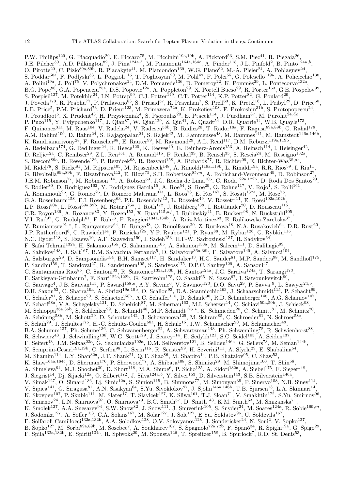P.W. Phillips<sup>129</sup>, G. Piacquadio<sup>29</sup>, E. Piccaro<sup>75</sup>, M. Piccinini<sup>19a,19b</sup>, A. Pickford<sup>53</sup>, S.M. Piec<sup>41</sup>, R. Piegaia<sup>26</sup>, J.E. Pilcher<sup>30</sup>, A.D. Pilkington<sup>82</sup>, J. Pina<sup>124a,b</sup>, M. Pinamonti<sup>164a,164c</sup>, A. Pinder<sup>118</sup>, J.L. Pinfold<sup>2</sup>, B. Pinto<sup>124a,b</sup>, O. Pirotte<sup>29</sup>, C. Pizio<sup>89a,89b</sup>, R. Placakyte<sup>41</sup>, M. Plamondon<sup>169</sup>, W.G. Plano<sup>82</sup>, M.-A. Pleier<sup>24</sup>, A. Poblaguev<sup>24</sup>, S. Poddar<sup>58a</sup>, F. Podlyski<sup>33</sup>, L. Poggioli<sup>115</sup>, T. Poghosyan<sup>20</sup>, M. Pohl<sup>49</sup>, F. Polci<sup>55</sup>, G. Polesello<sup>119a</sup>, A. Policicchio<sup>138</sup>, A. Polini<sup>19a</sup>, J. Poll<sup>75</sup>, V. Polychronakos<sup>24</sup>, D.M. Pomarede<sup>136</sup>, D. Pomeroy<sup>22</sup>, K. Pommès<sup>29</sup>, L. Pontecorvo<sup>132a</sup>, B.G. Pope<sup>88</sup>, G.A. Popeneciu<sup>25a</sup>, D.S. Popovic<sup>12a</sup>, A. Poppleton<sup>29</sup>, X. Portell Bueso<sup>29</sup>, R. Porter<sup>163</sup>, G.E. Pospelov<sup>99</sup>, S. Pospisil<sup>127</sup>, M. Potekhin<sup>24</sup>, I.N. Potrap<sup>99</sup>, C.J. Potter<sup>149</sup>, C.T. Potter<sup>114</sup>, K.P. Potter<sup>82</sup>, G. Poulard<sup>29</sup>, J. Poveda<sup>173</sup>, R. Prabhu<sup>77</sup>, P. Pralavorio<sup>83</sup>, S. Prasad<sup>57</sup>, R. Pravahan<sup>7</sup>, S. Prell<sup>63</sup>, K. Pretzl<sup>16</sup>, L. Pribyl<sup>29</sup>, D. Price<sup>60</sup>, L.E. Price<sup>5</sup>, P.M. Prichard<sup>73</sup>, D. Prieur<sup>123</sup>, M. Primavera<sup>72a</sup>, K. Prokofiev<sup>108</sup>, F. Prokoshin<sup>31b</sup>, S. Protopopescu<sup>24</sup>, J. Proudfoot<sup>5</sup>, X. Prudent<sup>43</sup>, H. Przysiezniak<sup>4</sup>, S. Psoroulas<sup>20</sup>, E. Ptacek<sup>114</sup>, J. Purdham<sup>87</sup>, M. Purohit<sup>24,ac</sup>, P. Puzo<sup>115</sup>, Y. Pylypchenko<sup>117</sup>, J. Qian<sup>87</sup>, W. Qian<sup>129</sup>, Z. Qin<sup>41</sup>, A. Quadt<sup>54</sup>, D.R. Quarrie<sup>14</sup>, W.B. Quayle<sup>173</sup>, F. Quinonez<sup>31a</sup>, M. Raas<sup>104</sup>, V. Radeka<sup>24</sup>, V. Radescu<sup>58b</sup>, B. Radics<sup>20</sup>, T. Rador<sup>18a</sup>, F. Ragusa<sup>89a,89b</sup>, G. Rahal<sup>178</sup>, A.M. Rahimi<sup>109</sup>, D. Rahm<sup>24</sup>, S. Rajagopalan<sup>24</sup>, S. Rajek<sup>42</sup>, M. Rammensee<sup>48</sup>, M. Rammes<sup>141</sup>, M. Ramstedt<sup>146a,146b</sup>, K. Randrianarivony<sup>28</sup>, F. Rauscher<sup>98</sup>, E. Rauter<sup>99</sup>, M. Raymond<sup>29</sup>, A.L. Read<sup>117</sup>, D.M. Rebuzzi<sup>119a,119b</sup>, A. Redelbach<sup>174</sup>, G. Redlinger<sup>24</sup>, R. Reece<sup>120</sup>, K. Reeves<sup>40</sup>, E. Reinherz-Aronis<sup>153</sup>, A. Reinsch<sup>114</sup>, I. Reisinger<sup>42</sup>, D. Reljic<sup>12a</sup>, C. Rembser<sup>29</sup>, Z.L. Ren<sup>151</sup>, A. Renaud<sup>115</sup>, P. Renkel<sup>39</sup>, B. Rensch<sup>35</sup>, S. Rescia<sup>24</sup>, M. Rescigno<sup>132a</sup>, S. Resconi<sup>89a</sup>, B. Resende<sup>136</sup>, P. Reznicek<sup>98</sup>, R. Rezvani<sup>158</sup>, A. Richards<sup>77</sup>, R. Richter<sup>99</sup>, E. Richter-Was<sup>38,ae</sup>, M. Ridel<sup>78</sup>, S. Rieke<sup>81</sup>, M. Rijpstra<sup>105</sup>, M. Rijssenbeek<sup>148</sup>, A. Rimoldi<sup>119a,119b</sup>, L. Rinaldi<sup>19a</sup>, R.R. Rios<sup>39</sup>, I. Riu<sup>11</sup>, G. Rivoltella<sup>89a,89b</sup>, F. Rizatdinova<sup>112</sup>, E. Rizvi<sup>75</sup>, S.H. Robertson<sup>85,*m*</sup>, A. Robichaud-Veronneau<sup>49</sup>, D. Robinson<sup>27</sup>, J.E.M. Robinson<sup>77</sup>, M. Robinson<sup>114</sup>, A. Robson<sup>53</sup>, J.G. Rocha de Lima<sup>106</sup>, C. Roda<sup>122a,122b</sup>, D. Roda Dos Santos<sup>29</sup>, S. Rodier<sup>80</sup>, D. Rodriguez<sup>162</sup>, Y. Rodriguez Garcia<sup>15</sup>, A. Roe<sup>54</sup>, S. Roe<sup>29</sup>, O. Røhne<sup>117</sup>, V. Rojo<sup>1</sup>, S. Rolli<sup>161</sup>, A. Romaniouk<sup>96</sup>, G. Romeo<sup>26</sup>, D. Romero Maltrana<sup>31a</sup>, L. Roos<sup>78</sup>, E. Ros<sup>167</sup>, S. Rosati<sup>132a</sup>, M. Rose<sup>76</sup>, G.A. Rosenbaum<sup>158</sup>, E.I. Rosenberg<sup>63</sup>, P.L. Rosendahl<sup>13</sup>, L. Rosselet<sup>49</sup>, V. Rossetti<sup>11</sup>, E. Rossi<sup>102a,102b</sup>, L.P. Rossi<sup>50a</sup>, L. Rossi<sup>89a,89b</sup>, M. Rotaru<sup>25a</sup>, I. Roth<sup>172</sup>, J. Rothberg<sup>138</sup>, I. Rottländer<sup>20</sup>, D. Rousseau<sup>115</sup>, C.R. Royon<sup>136</sup>, A. Rozanov<sup>83</sup>, Y. Rozen<sup>152</sup>, X. Ruan<sup>115,af</sup>, I. Rubinskiy<sup>41</sup>, B. Ruckert<sup>98</sup>, N. Ruckstuhl<sup>105</sup>, V.I. Rud<sup>97</sup>, G. Rudolph<sup>61</sup>, F. Rühr<sup>6</sup>, F. Ruggieri<sup>134a,134b</sup>, A. Ruiz-Martinez<sup>63</sup>, E. Rulikowska-Zarebska<sup>37</sup>, V. Rumiantsev<sup>91,\*</sup>, L. Rumyantsev<sup>64</sup>, K. Runge<sup>48</sup>, O. Runolfsson<sup>20</sup>, Z. Rurikova<sup>48</sup>, N.A. Rusakovich<sup>64</sup>, D.R. Rust<sup>60</sup>, J.P. Rutherfoord<sup>6</sup>, C. Ruwiedel<sup>14</sup>, P. Ruzicka<sup>125</sup>, Y.F. Ryabov<sup>121</sup>, P. Ryan<sup>88</sup>, M. Rybar<sup>126</sup>, G. Rybkin<sup>115</sup>, N.C. Ryder<sup>118</sup>, S. Rzaeva<sup>10</sup>, A.F. Saavedra<sup>150</sup>, I. Sadeh<sup>153</sup>, H.F-W. Sadrozinski<sup>137</sup>, R. Sadykov<sup>64</sup>, F. Safai Tehrani<sup>132a</sup>, H. Sakamoto<sup>155</sup>, G. Salamanna<sup>105</sup>, A. Salamon<sup>133a</sup>, M. Saleem<sup>111</sup>, D. Salihagic<sup>99</sup>, A. Salnikov<sup>143</sup>, J. Salt<sup>167</sup>, B.M. Salvachua Ferrando<sup>5</sup>, D. Salvatore<sup>36a,36b</sup>, F. Salvatore<sup>149</sup>, A. Salvucci<sup>104</sup>, A. Salzburger<sup>29</sup>, D. Sampsonidis<sup>154</sup>, B.H. Samset<sup>117</sup>, H. Sandaker<sup>13</sup>, H.G. Sander<sup>81</sup>, M.P. Sanders<sup>98</sup>, M. Sandhoff<sup>175</sup>, P. Sandhu<sup>158</sup>, T. Sandoval<sup>27</sup>, R. Sandstroem<sup>105</sup>, S. Sandvoss<sup>175</sup>, D.P.C. Sankey<sup>129</sup>, A. Sansoni<sup>47</sup>, C. Santamarina Rios<sup>85</sup>, C. Santoni<sup>33</sup>, R. Santonico<sup>133a,133b</sup>, H. Santos<sup>124a</sup>, J.G. Saraiva<sup>124a</sup>, T. Sarangi<sup>173</sup>, E. Sarkisyan-Grinbaum<sup>7</sup>, F. Sarri<sup>122a,122b</sup>, G. Sartisohn<sup>175</sup>, O. Sasaki<sup>65</sup>, N. Sasao<sup>67</sup>, I. Satsounkevitch<sup>90</sup>, G. Sauvage<sup>4</sup>, J.B. Sauvan<sup>115</sup>, P. Savard<sup>158,e</sup>, A.Y. Savine<sup>6</sup>, V. Savinov<sup>123</sup>, D.O. Savu<sup>29</sup>, P. Savva <sup>9</sup>, L. Sawyer<sup>24,o</sup>, D.H. Saxon<sup>53</sup>, C. Sbarra<sup>19a</sup>, A. Sbrizzi<sup>19a,19b</sup>, O. Scallon<sup>93</sup>, D.A. Scannicchio<sup>163</sup>, J. Schaarschmidt<sup>115</sup>, P. Schacht<sup>99</sup>, U. Schäfer $^{81}$ , S. Schaepe<sup>20</sup>, S. Schaetzel<sup>58b</sup>, A.C. Schaffer<sup>115</sup>, D. Schaile<sup>98</sup>, R.D. Schamberger<sup>148</sup>, A.G. Schamov<sup>107</sup>, V. Scharf<sup>58a</sup>, V.A. Schegelsky<sup>121</sup>, D. Scheirich<sup>87</sup>, M. Schernau<sup>163</sup>, M.I. Scherzer<sup>14</sup>, C. Schiavi<sup>50a,50b</sup>, J. Schieck<sup>98</sup>, M. Schioppa<sup>36a,36b</sup>, S. Schlenker<sup>29</sup>, E. Schmidt<sup>48</sup>, M.P. Schmidt<sup>176,\*</sup>, K. Schmieden<sup>20</sup>, C. Schmitt<sup>81</sup>, M. Schmitz<sup>20</sup>, A. Schöning<sup>58b</sup>, M. Schott<sup>29</sup>, D. Schouten<sup>142</sup>, J. Schovancova<sup>125</sup>, M. Schram<sup>85</sup>, C. Schroeder<sup>81</sup>, N. Schroer<sup>58c</sup>, S. Schuh<sup>29</sup>, J. Schultes<sup>175</sup>, H.-C. Schultz-Coulon<sup>58a</sup>, H. Schulz<sup>15</sup>, J.W. Schumacher<sup>20</sup>, M. Schumacher<sup>48</sup>, B.A. Schumm<sup>137</sup>, Ph. Schune<sup>136</sup>, C. Schwanenberger<sup>82</sup>, A. Schwartzman<sup>143</sup>, Ph. Schwemling<sup>78</sup>, R. Schwienhorst<sup>88</sup>, R. Schwierz<sup>43</sup>, J. Schwindling<sup>136</sup>, W.G. Scott<sup>129</sup>, J. Searcy<sup>114</sup>, E. Sedykh<sup>121</sup>, S.C. Seidel<sup>103</sup>, A. Seiden<sup>137</sup>, F. Seifert<sup>43</sup>, J.M. Seixas<sup>23a</sup>, G. Sekhniaidze<sup>102a</sup>, D.M. Seliverstov<sup>121</sup>, B. Sellden<sup>146a</sup>, G. Sellers<sup>73</sup>, M. Seman<sup>144b</sup>, N. Semprini-Cesari<sup>19a,19b</sup>, C. Serfon<sup>98</sup>, L. Serin<sup>115</sup>, R. Seuster<sup>99</sup>, H. Severini<sup>111</sup>, A. Sfyrla<sup>29</sup>, E. Shabalina<sup>54</sup>, M. Shamim<sup>114</sup>, L.Y. Shan<sup>32a</sup>, J.T. Shank<sup>21</sup>, Q.T. Shao<sup>86</sup>, M. Shapiro<sup>14</sup>, P.B. Shatalov<sup>95</sup>, C. Shaw<sup>53</sup>, K. Shaw<sup>164a,164c</sup>, D. Sherman<sup>176</sup>, P. Sherwood<sup>77</sup>, A. Shibata<sup>108</sup>, S. Shimizu<sup>29</sup>, M. Shimojima<sup>100</sup>, T. Shin<sup>56</sup>, A. Shmeleva<sup>94</sup>, M.J. Shochet<sup>30</sup>, D. Short<sup>118</sup>, M.A. Shupe<sup>6</sup>, P. Sicho<sup>125</sup>, A. Sidoti<sup>132a</sup>, A. Siebel<sup>175</sup>, F. Siegert<sup>48</sup>, J. Siegrist<sup>14</sup>, Dj. Sijacki<sup>12a</sup>, O. Silbert<sup>172</sup>, J. Silva<sup>124a,b</sup>, Y. Silver<sup>153</sup>, D. Silverstein<sup>143</sup>, S.B. Silverstein<sup>146a</sup>, V. Simak<sup>127</sup>, O. Simard<sup>136</sup>, Lj. Simic<sup>12a</sup>, S. Simion<sup>115</sup>, B. Simmons<sup>77</sup>, M. Simonyan<sup>35</sup>, P. Sinervo<sup>158</sup>, N.B. Sinev<sup>114</sup>, V. Sipica<sup>141</sup>, G. Siragusa<sup>81</sup>, A.N. Sisakyan<sup>64</sup>, S.Yu. Sivoklokov<sup>97</sup>, J. Sjölin<sup>146a,146b</sup>, T.B. Sjursen<sup>13</sup>, L.A. Skinnari<sup>14</sup>, K. Skovpen<sup>107</sup>, P. Skubic<sup>111</sup>, M. Slater<sup>17</sup>, T. Slavicek<sup>127</sup>, K. Sliwa<sup>161</sup>, T.J. Sloan<sup>71</sup>, V. Smakhtin<sup>172</sup>, S.Yu. Smirnov<sup>96</sup>, Y. Smirnov<sup>24</sup>, L.N. Smirnova<sup>97</sup>, O. Smirnova<sup>79</sup>, B.C. Smith<sup>57</sup>, D. Smith<sup>143</sup>, K.M. Smith<sup>53</sup>, M. Smizanska<sup>71</sup>, K. Smolek<sup>127</sup>, A.A. Snesarev<sup>94</sup>, S.W. Snow<sup>82</sup>, J. Snow<sup>111</sup>, J. Snuverink<sup>105</sup>, S. Snyder<sup>24</sup>, M. Soares<sup>124a</sup>, R. Sobie<sup>169,m</sup>, J. Sodomka<sup>127</sup>, A. Soffer<sup>153</sup>, C.A. Solans<sup>167</sup>, M. Solar<sup>127</sup>, J. Solc<sup>127</sup>, E.Yu. Soldatov<sup>96</sup>, U. Soldevila<sup>167</sup>, E. Solfaroli Camillocci<sup>132a,132b</sup>, A.A. Solodkov<sup>128</sup>, O.V. Solovyanov<sup>128</sup>, J. Sondericker<sup>24</sup>, N. Soni<sup>2</sup>, V. Sopko<sup>127</sup>, B. Sopko<sup>127</sup>, M. Sorbi<sup>89a,89b</sup>, M. Sosebee<sup>7</sup>, A. Soukharev<sup>107</sup>, S. Spagnolo<sup>72a,72b</sup>, F. Spanò<sup>34</sup>, R. Spighi<sup>19a</sup>, G. Spigo<sup>29</sup>,

F. Spila<sup>132a,132b</sup>, E. Spiriti<sup>134a</sup>, R. Spiwoks<sup>29</sup>, M. Spousta<sup>126</sup>, T. Spreitzer<sup>158</sup>, B. Spurlock<sup>7</sup>, R.D. St. Denis<sup>53</sup>,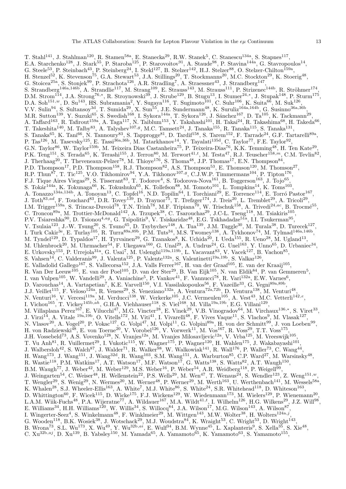T. Stahl<sup>141</sup>, J. Stahlman<sup>120</sup>, R. Stamen<sup>58a</sup>, E. Stanecka<sup>29</sup>, R.W. Stanek<sup>5</sup>, C. Stanescu<sup>134a</sup>, S. Stapnes<sup>117</sup>, E.A. Starchenko<sup>128</sup>, J. Stark<sup>55</sup>, P. Staroba<sup>125</sup>, P. Starovoitov<sup>91</sup>, A. Staude<sup>98</sup>, P. Stavina<sup>144a</sup>, G. Stavropoulos<sup>14</sup>, G. Steele<sup>53</sup>, P. Steinbach<sup>43</sup>, P. Steinberg<sup>24</sup>, I. Stekl<sup>127</sup>, B. Stelzer<sup>142</sup>, H.J. Stelzer<sup>88</sup>, O. Stelzer-Chilton<sup>159a</sup>, H. Stenzel<sup>52</sup>, K. Stevenson<sup>75</sup>, G.A. Stewart<sup>53</sup>, J.A. Stillings<sup>20</sup>, T. Stockmanns<sup>20</sup>, M.C. Stockton<sup>29</sup>, K. Stoerig<sup>48</sup>, G. Stoicea<sup>25a</sup>, S. Stonjek<sup>99</sup>, P. Strachota<sup>126</sup>, A.R. Stradling<sup>7</sup>, A. Straessner<sup>43</sup>, J. Strandberg<sup>147</sup>, S. Strandberg<sup>146a,146b</sup>, A. Strandlie<sup>117</sup>, M. Strang<sup>109</sup>, E. Strauss<sup>143</sup>, M. Strauss<sup>111</sup>, P. Strizenec<sup>144b</sup>, R. Ströhmer<sup>174</sup>, D.M. Strom<sup>114</sup>, J.A. Strong<sup>76,\*</sup>, R. Stroynowski<sup>39</sup>, J. Strube<sup>129</sup>, B. Stugu<sup>13</sup>, I. Stumer<sup>24,\*</sup>, J. Stupak<sup>148</sup>, P. Sturm<sup>175</sup>, D.A. Soh<sup>151,w</sup>, D. Su<sup>143</sup>, HS. Subramania<sup>2</sup>, Y. Sugaya<sup>116</sup>, T. Sugimoto<sup>101</sup>, C. Suhr<sup>106</sup>, K. Suita<sup>66</sup>, M. Suk<sup>126</sup>, V.V. Sulin<sup>94</sup>, S. Sultansoy<sup>3d</sup>, T. Sumida<sup>29</sup>, X. Sun<sup>55</sup>, J.E. Sundermann<sup>48</sup>, K. Suruliz<sup>164a,164b</sup>, G. Susinno<sup>36a,36b</sup>, M.R. Sutton<sup>139</sup>, Y. Suzuki<sup>65</sup>, S. Swedish<sup>168</sup>, I. Sykora<sup>144a</sup>, T. Sykora<sup>126</sup>, J. Sánchez<sup>167</sup>, D. Ta<sup>105</sup>, K. Tackmann<sup>29</sup>, A. Taffard<sup>163</sup>, R. Tafirout<sup>159a</sup>, A. Taga<sup>117</sup>, N. Taiblum<sup>153</sup>, Y. Takahashi<sup>101</sup>, H. Takai<sup>24</sup>, R. Takashima<sup>68</sup>, H. Takeda<sup>66</sup>, T. Takeshita<sup>140</sup>, M. Talby<sup>83</sup>, A. Talyshev<sup>107, g</sup>, M.C. Tamsett<sup>24</sup>, J. Tanaka<sup>155</sup>, R. Tanaka<sup>115</sup>, S. Tanaka<sup>131</sup>, S. Tanaka<sup>65</sup>, K. Tani<sup>66</sup>, N. Tannoury<sup>83</sup>, S. Tapprogge<sup>81</sup>, D. Tardif<sup>158</sup>, S. Tarem<sup>152</sup>, F. Tarrade<sup>24</sup>, G.F. Tartarelli<sup>89a</sup>, P. Tas<sup>126</sup>, M. Tasevsky<sup>125</sup>, E. Tassi<sup>36a,36b</sup>, M. Tatarkhanov<sup>14</sup>, Y. Tayalati<sup>135d</sup>, C. Taylor<sup>77</sup>, F.E. Taylor<sup>92</sup>, G.N. Taylor<sup>86</sup>, W. Taylor<sup>159b</sup>, M. Teixeira Dias Castanheira<sup>75</sup>, P. Teixeira-Dias<sup>76</sup>, K.K. Temming<sup>48</sup>, H. Ten Kate<sup>29</sup>, P.K. Teng<sup>151</sup>, S. Terada<sup>65</sup>, K. Terashi<sup>155</sup>, J. Terron<sup>80</sup>, M. Terwort<sup>41,t</sup>, M. Testa<sup>47</sup>, R.J. Teuscher<sup>158,m</sup>, C.M. Tevlin<sup>82</sup>, J. Therhaag<sup>20</sup>, T. Theveneaux-Pelzer<sup>78</sup>, M. Thioye<sup>176</sup>, S. Thoma<sup>48</sup>, J.P. Thomas<sup>17</sup>, E.N. Thompson<sup>84</sup>, P.D. Thompson<sup>17</sup>, P.D. Thompson<sup>158</sup>, R.J. Thompson<sup>82</sup>, A.S. Thompson<sup>53</sup>, E. Thomson<sup>120</sup>, M. Thomson<sup>27</sup>, R.P. Thun<sup>87</sup>, T. Tic<sup>125</sup>, V.O. Tikhomirov<sup>94</sup>, Y.A. Tikhonov<sup>107,g</sup>, C.J.W.P. Timmermans<sup>104</sup>, P. Tipton<sup>176</sup>, F.J. Tique Aires Viegas<sup>29</sup>, S. Tisserant<sup>83</sup>, T. Todorov<sup>4</sup>, S. Todorova-Nova<sup>161</sup>, B. Toggerson<sup>163</sup>, J. Tojo<sup>65</sup>, S. Tokár $^{144a}$ , K. Tokunaga $^{66}$ , K. Tokushuku $^{65}$ , K. Tollefson $^{88}$ , M. Tomoto $^{101}$ , L. Tompkins $^{14}$ , K. Toms $^{103}$ , A. Tonazzo<sup>134a,134b</sup>, A. Tonoyan<sup>13</sup>, C. Topfel<sup>16</sup>, N.D. Topilin<sup>64</sup>, I. Torchiani<sup>29</sup>, E. Torrence<sup>114</sup>, E. Torró Pastor<sup>167</sup>, J. Toth<sup>83,ad</sup>, F. Touchard<sup>83</sup>, D.R. Tovey<sup>139</sup>, D. Traynor<sup>75</sup>, T. Trefzger<sup>174</sup>, J. Treis<sup>20</sup>, L. Tremblet<sup>29</sup>, A. Tricoli<sup>29</sup>, I.M. Trigger<sup>159a</sup>, S. Trincaz-Duvoid<sup>78</sup>, T.N. Trinh<sup>78</sup>, M.F. Tripiana<sup>70</sup>, W. Trischuk<sup>158</sup>, A. Trivedi<sup>24,ac</sup>, B. Trocmé<sup>55</sup>, C. Troncon<sup>89a</sup>, M. Trottier-McDonald<sup>142</sup>, A. Trzupek<sup>38</sup>, C. Tsarouchas<sup>29</sup>, J.C-L. Tseng<sup>118</sup>, M. Tsiakiris<sup>105</sup>, P.V. Tsiareshka<sup>90</sup>, D. Tsionou<sup>4,ag</sup>, G. Tsipolitis<sup>9</sup>, V. Tsiskaridze<sup>48</sup>, E.G. Tskhadadze<sup>51a</sup>, I.I. Tsukerman<sup>95</sup>, V. Tsulaia<sup>123</sup>, J.-W. Tsung<sup>20</sup>, S. Tsuno<sup>65</sup>, D. Tsybychev<sup>148</sup>, A. Tua<sup>139</sup>, J.M. Tuggle<sup>30</sup>, M. Turala<sup>38</sup>, D. Turecek<sup>127</sup>, I. Turk Cakir<sup>3e</sup>, E. Turlay<sup>105</sup>, R. Turra<sup>89a,89b</sup>, P.M. Tuts<sup>34</sup>, M.S. Twomey<sup>138</sup>, A. Tykhonov<sup>74</sup>, M. Tylmad<sup>146a,146b</sup>, M. Tyndel<sup>129</sup>, D. Typaldos<sup>17</sup>, H. Tyrvainen<sup>29</sup>, G. Tzanakos<sup>8</sup>, K. Uchida<sup>20</sup>, I. Ueda<sup>155</sup>, R. Ueno<sup>28</sup>, M. Ugland<sup>13</sup>, M. Uhlenbrock<sup>20</sup>, M. Uhrmacher<sup>54</sup>, F. Ukegawa<sup>160</sup>, G. Unal<sup>29</sup>, A. Undrus<sup>24</sup>, G. Unel<sup>163</sup>, Y. Unno<sup>65</sup>, D. Urbaniec<sup>34</sup>, E. Urkovsky<sup>153</sup>, P. Urrejola<sup>31a</sup>, G. Usai<sup>7</sup>, M. Uslenghi<sup>119a,119b</sup>, L. Vacavant<sup>83</sup>, V. Vacek<sup>127</sup>, B. Vachon<sup>85</sup>, S. Vahsen<sup>14</sup>, C. Valderanis<sup>99</sup>, J. Valenta<sup>125</sup>, P. Valente<sup>132a</sup>, S. Valentinetti<sup>19a,19b</sup>, S. Valkar<sup>126</sup>, E. Valladolid Gallego<sup>167</sup>, S. Vallecorsa<sup>152</sup>, J.A. Valls Ferrer<sup>167</sup>, H. van der Graaf<sup>105</sup>, E. van der Kraaij<sup>105</sup>, R. Van Der Leeuw<sup>105</sup>, E. van der Poel<sup>105</sup>, D. van der Ster<sup>29</sup>, B. Van Eijk<sup>105</sup>, N. van Eldik<sup>84</sup>, P. van Gemmeren<sup>5</sup>, I. van Vulpen<sup>105</sup>, W. Vandelli<sup>29</sup>, A. Vaniachine<sup>5</sup>, P. Vankov<sup>41</sup>, F. Vannucci<sup>78</sup>, R. Vari<sup>132a</sup>, E.W. Varnes<sup>6</sup>, D. Varouchas<sup>14</sup>, A. Vartapetian<sup>7</sup>, K.E. Varvell<sup>150</sup>, V.I. Vassilakopoulos<sup>56</sup>, F. Vazeille<sup>33</sup>, G. Vegni<sup>89a,89b</sup>, J.J. Veillet<sup>115</sup>, F. Veloso<sup>124a</sup>, R. Veness<sup>29</sup>, S. Veneziano<sup>132a</sup>, A. Ventura<sup>72a,72b</sup>, D. Ventura<sup>138</sup>, M. Venturi<sup>48</sup>, N. Venturi<sup>16</sup>, V. Vercesi<sup>119a</sup>, M. Verducci<sup>138</sup>, W. Verkerke<sup>105</sup>, J.C. Vermeulen<sup>105</sup>, A. Vest<sup>43</sup>, M.C. Vetterli<sup>142,e</sup>, I. Vichou<sup>165</sup>, T. Vickey<sup>145b,ah</sup>, G.H.A. Viehhauser<sup>118</sup>, S. Viel<sup>168</sup>, M. Villa<sup>19a,19b</sup>, E.G. Villani<sup>129</sup>, M. Villaplana Perez<sup>167</sup>, E. Vilucchi<sup>47</sup>, M.G. Vincter<sup>28</sup>, E. Vinek<sup>29</sup>, V.B. Vinogradov<sup>64</sup>, M. Virchaux<sup>136,∗</sup>, S. Viret<sup>33</sup>, J. Virzi<sup>14</sup>, A. Vitale <sup>19a,19b</sup>, O. Vitells<sup>172</sup>, M. Viti<sup>41</sup>, I. Vivarelli<sup>48</sup>, F. Vives Vaque<sup>11</sup>, S. Vlachos<sup>9</sup>, M. Vlasak<sup>127</sup>, N. Vlasov<sup>20</sup>, A. Vogel<sup>20</sup>, P. Vokac<sup>127</sup>, G. Volpi<sup>47</sup>, M. Volpi<sup>11</sup>, G. Volpini<sup>89a</sup>, H. von der Schmitt<sup>99</sup>, J. von Loeben<sup>99</sup>, H. von Radziewski<sup>48</sup>, E. von Toerne<sup>20</sup>, V. Vorobel<sup>126</sup>, V. Vorwerk<sup>11</sup>, M. Vos<sup>167</sup>, R. Voss<sup>29</sup>, T.T. Voss<sup>175</sup>, J.H. Vossebeld<sup>73</sup>, A.S. Vovenko<sup>128</sup>, N. Vranjes<sup>12a</sup>, M. Vranjes Milosavljevic<sup>12a</sup>, V. Vrba<sup>125</sup>, M. Vreeswijk<sup>105</sup>, T. Vu Anh<sup>81</sup>, R. Vuillermet<sup>29</sup>, I. Vukotic<sup>115</sup>, W. Wagner<sup>175</sup>, P. Wagner<sup>120</sup>, H. Wahlen<sup>175</sup>, J. Wakabayashi<sup>101</sup>, J. Walbersloh<sup>42</sup>, S. Walch<sup>87</sup>, J. Walder<sup>71</sup>, R. Walker<sup>98</sup>, W. Walkowiak<sup>141</sup>, R. Wall<sup>176</sup>, P. Waller<sup>73</sup>, C. Wang<sup>44</sup>, H. Wang<sup>173</sup>, J. Wang<sup>151</sup>, J. Wang<sup>32d</sup>, R. Wang<sup>103</sup>, S.M. Wang<sup>151</sup>, A. Warburton<sup>85</sup>, C.P. Ward<sup>27</sup>, M. Warsinsky<sup>48</sup>, R. Wastie<sup>118</sup>, P.M. Watkins<sup>17</sup>, A.T. Watson<sup>17</sup>, M.F. Watson<sup>17</sup>, G. Watts<sup>138</sup>, S. Watts<sup>82</sup>, A.T. Waugh<sup>150</sup>, B.M. Waugh<sup>77</sup>, J. Weber<sup>42</sup>, M. Weber<sup>129</sup>, M.S. Weber<sup>16</sup>, P. Weber<sup>54</sup>, A.R. Weidberg<sup>118</sup>, P. Weigell<sup>99</sup>, J. Weingarten<sup>54</sup>, C. Weiser<sup>48</sup>, H. Wellenstein<sup>22</sup>, P.S. Wells<sup>29</sup>, M. Wen<sup>47</sup>, T. Wenaus<sup>24</sup>, S. Wendler<sup>123</sup>, Z. Weng<sup>151,*w*</sup>, T. Wengler<sup>29</sup>, S. Wenig<sup>29</sup>, N. Wermes<sup>20</sup>, M. Werner<sup>48</sup>, P. Werner<sup>29</sup>, M. Werth<sup>163</sup>, U. Werthenbach<sup>141</sup>, M. Wessels<sup>58a</sup>, K. Whalen<sup>28</sup>, S.J. Wheeler-Ellis<sup>163</sup>, A. White<sup>7</sup>, M.J. White<sup>86</sup>, S. White<sup>24</sup>, S.R. Whitehead<sup>118</sup>, D. Whiteson<sup>163</sup>, D. Whittington<sup>60</sup>, F. Wicek<sup>115</sup>, D. Wicke<sup>175</sup>, F.J. Wickens<sup>129</sup>, W. Wiedenmann<sup>173</sup>, M. Wielers<sup>129</sup>, P. Wienemann<sup>20</sup>, L.A.M. Wiik-Fuchs<sup>48</sup>, P.A. Wijeratne<sup>77</sup>, A. Wildauer<sup>167</sup>, M.A. Wildt<sup>41,*t*</sup>, I. Wilhelm<sup>126</sup>, H.G. Wilkens<sup>29</sup>, J.Z. Will<sup>98</sup>, E. Williams<sup>34</sup>, H.H. Williams<sup>120</sup>, W. Willis<sup>34</sup>, S. Willocq<sup>84</sup>, J.A. Wilson<sup>17</sup>, M.G. Wilson<sup>143</sup>, A. Wilson<sup>87</sup>, I. Wingerter-Seez<sup>4</sup>, S. Winkelmann<sup>48</sup>, F. Winklmeier<sup>29</sup>, M. Wittgen<sup>143</sup>, M.W. Wolter<sup>38</sup>, H. Wolters<sup>124a,j</sup>, G. Wooden<sup>118</sup>, B.K. Wosiek<sup>38</sup>, J. Wotschack<sup>29</sup>, M.J. Woudstra<sup>84</sup>, K. Wraight<sup>53</sup>, C. Wright<sup>53</sup>, D. Wright<sup>143</sup>, B. Wrona<sup>73</sup>, S.L. Wu<sup>173</sup>, X. Wu<sup>49</sup>, Y. Wu<sup>32b,ai</sup>, E. Wulf<sup>34</sup>, B.M. Wynne<sup>45</sup>, L. Xaplanteris<sup>9</sup>, S. Xella<sup>35</sup>, S. Xie<sup>48</sup>,

C.  $Xu^{32b,aj}$ , D.  $Xu^{139}$ , B. Yabsley<sup>150</sup>, M. Yamada<sup>65</sup>, A. Yamamoto<sup>65</sup>, K. Yamamoto<sup>63</sup>, S. Yamamoto<sup>155</sup>,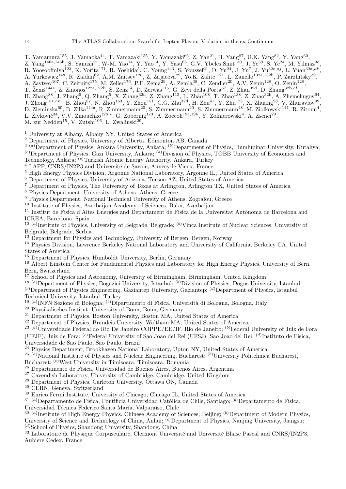T. Yamamura<sup>155</sup>, J. Yamaoka<sup>44</sup>, T. Yamazaki<sup>155</sup>, Y. Yamazaki<sup>66</sup>, Z. Yan<sup>21</sup>, H. Yang<sup>87</sup>, U.K. Yang<sup>82</sup>, Y. Yang<sup>60</sup>,

Z. Yang<sup>146a,146b</sup>, S. Yanush<sup>91</sup>, W-M. Yao<sup>14</sup>, Y. Yao<sup>14</sup>, Y. Yasu<sup>65</sup>, G.V. Ybeles Smit<sup>130</sup>, J. Ye<sup>39</sup>, S. Ye<sup>24</sup>, M. Yilmaz<sup>3c</sup>,

R. Yoosoofmiya<sup>123</sup>, K. Yorita<sup>171</sup>, R. Yoshida<sup>5</sup>, C. Young<sup>143</sup>, S. Youssef<sup>21</sup>, D. Yu<sup>24</sup>, J. Yu<sup>7</sup>, J. Yu<sup>32c,aj</sup>, L. Yuan<sup>32a,ak</sup>,

- A. Yurkewicz<sup>148</sup>, R. Zaidan<sup>62</sup>, A.M. Zaitsev<sup>128</sup>, Z. Zajacova<sup>29</sup>, Yo.K. Zalite <sup>121</sup>, L. Zanello<sup>132a,132b</sup>, P. Zarzhitsky<sup>39</sup>,
- A. Zaytsev<sup>107</sup>, C. Zeitnitz<sup>175</sup>, M. Zeller<sup>176</sup>, P.F. Zema<sup>29</sup>, A. Zemla<sup>38</sup>, C. Zendler<sup>20</sup>, A.V. Zenin<sup>128</sup>, O. Zenin<sup>128</sup>,
- T. Ženiš<sup>144a</sup>, Z. Zinonos<sup>122a,122b</sup>, S. Zenz<sup>14</sup>, D. Zerwas<sup>115</sup>, G. Zevi della Porta<sup>57</sup>, Z. Zhan<sup>32d</sup>, D. Zhang<sup>32b,al</sup>,
- H. Zhang<sup>88</sup>, J. Zhang<sup>5</sup>, Q. Zhang<sup>5</sup>, X. Zhang<sup>32d</sup>, Z. Zhang<sup>115</sup>, L. Zhao<sup>108</sup>, T. Zhao<sup>138</sup>, Z. Zhao<sup>32b</sup>, A. Zhemchugov<sup>64</sup>,
- $J. Zhong<sup>151, am</sup>, B. Zhou<sup>87</sup>, N. Zhou<sup>163</sup>, Y. Zhou<sup>151</sup>, C.G. Zhu<sup>32d</sup>, H. Zhu<sup>41</sup>, Y. Zhu<sup>173</sup>, X. Zhuang<sup>98</sup>, V. Zhuavlov<sup>99</sup>,$
- D. Zieminska $^{60}$ , B. Zilka $^{144a}$ , R. Zimmermann $^{20}$ , S. Zimmermann $^{20}$ , S. Zimmermann $^{48}$ , M. Ziolkowski $^{141}$ , R. Zitoun $^4$ , L. Živković<sup>34</sup>, V.V. Zmouchko<sup>128,∗</sup>, G. Zobernig<sup>173</sup>, A. Zoccoli<sup>19a,19b</sup>, Y. Zolnierowski<sup>4</sup>, A. Zsenei<sup>29</sup>,
- M. zur Nedden<sup>15</sup>, V. Zutshi<sup>106</sup>, L. Zwalinski<sup>29</sup>.

<sup>1</sup> University at Albany, Albany NY, United States of America

<sup>2</sup> Department of Physics, University of Alberta, Edmonton AB, Canada

- $\frac{3}{3}$  (a)Department of Physics, Ankara University, Ankara;  $\frac{(b)}{2}$ Department of Physics, Dumlupinar University, Kutahya; (c)Department of Physics, Gazi University, Ankara; (d)Division of Physics, TOBB University of Economics and
- Technology, Ankara; (e)Turkish Atomic Energy Authority, Ankara, Turkey

<sup>4</sup> LAPP, CNRS/IN2P3 and Université de Savoie, Annecy-le-Vieux, France

- <sup>5</sup> High Energy Physics Division, Argonne National Laboratory, Argonne IL, United States of America
- <sup>6</sup> Department of Physics, University of Arizona, Tucson AZ, United States of America
- <sup>7</sup> Department of Physics, The University of Texas at Arlington, Arlington TX, United States of America
- <sup>8</sup> Physics Department, University of Athens, Athens, Greece
- <sup>9</sup> Physics Department, National Technical University of Athens, Zografou, Greece
- <sup>10</sup> Institute of Physics, Azerbaijan Academy of Sciences, Baku, Azerbaijan

<sup>11</sup> Institut de Física d'Altes Energies and Departament de Física de la Universitat Autònoma de Barcelona and ICREA, Barcelona, Spain

- $12^{(a)}$ Institute of Physics, University of Belgrade, Belgrade;  $^{(b)}$ Vinca Institute of Nuclear Sciences, University of Belgrade, Belgrade, Serbia
- <sup>13</sup> Department for Physics and Technology, University of Bergen, Bergen, Norway
- <sup>14</sup> Physics Division, Lawrence Berkeley National Laboratory and University of California, Berkeley CA, United States of America
- <sup>15</sup> Department of Physics, Humboldt University, Berlin, Germany
- <sup>16</sup> Albert Einstein Center for Fundamental Physics and Laboratory for High Energy Physics, University of Bern, Bern, Switzerland
- <sup>17</sup> School of Physics and Astronomy, University of Birmingham, Birmingham, United Kingdom
- <sup>18 (a)</sup>Department of Physics, Bogazici University, Istanbul; <sup>(b)</sup>Division of Physics, Dogus University, Istanbul;
- $(c)$ Department of Physics Engineering, Gaziantep University, Gaziantep;  $(d)$ Department of Physics, Istanbul Technical University, Istanbul, Turkey
- <sup>19 (a)</sup>INFN Sezione di Bologna; <sup>(b)</sup>Dipartimento di Fisica, Università di Bologna, Bologna, Italy
- <sup>20</sup> Physikalisches Institut, University of Bonn, Bonn, Germany
- <sup>21</sup> Department of Physics, Boston University, Boston MA, United States of America
- <sup>22</sup> Department of Physics, Brandeis University, Waltham MA, United States of America
- <sup>23 (a)</sup>Universidade Federal do Rio De Janeiro COPPE/EE/IF, Rio de Janeiro; <sup>(b)</sup>Federal University of Juiz de Fora

(UFJF), Juiz de Fora; <sup>(c)</sup>Federal University of Sao Joao del Rei (UFSJ), Sao Joao del Rei; <sup>(d)</sup>Instituto de Fisica, Universidade de Sao Paulo, Sao Paulo, Brazil

<sup>24</sup> Physics Department, Brookhaven National Laboratory, Upton NY, United States of America

<sup>25 (a)</sup>National Institute of Physics and Nuclear Engineering, Bucharest; <sup>(b)</sup>University Politehnica Bucharest,

Bucharest; (c)West University in Timisoara, Timisoara, Romania

 $26$  Departamento de Física, Universidad de Buenos Aires, Buenos Aires, Argentina

<sup>27</sup> Cavendish Laboratory, University of Cambridge, Cambridge, United Kingdom

<sup>28</sup> Department of Physics, Carleton University, Ottawa ON, Canada

<sup>29</sup> CERN, Geneva, Switzerland

<sup>30</sup> Enrico Fermi Institute, University of Chicago, Chicago IL, United States of America

<sup>31 (a)</sup>Departamento de Fisica, Pontificia Universidad Católica de Chile, Santiago; <sup>(b)</sup>Departamento de Física,

Universidad Técnica Federico Santa María, Valparaíso, Chile<br><sup>32 (a)</sup>Institute of High Energy Physics, Chinese Academy of Sciences, Beijing; <sup>(b)</sup>Department of Modern Physics, University of Science and Technology of China, Anhui; <sup>(c)</sup>Department of Physics, Nanjing University, Jiangsu; (d)School of Physics, Shandong University, Shandong, China

<sup>33</sup> Laboratoire de Physique Corpusculaire, Clermont Université and Université Blaise Pascal and CNRS/IN2P3, Aubiere Cedex, France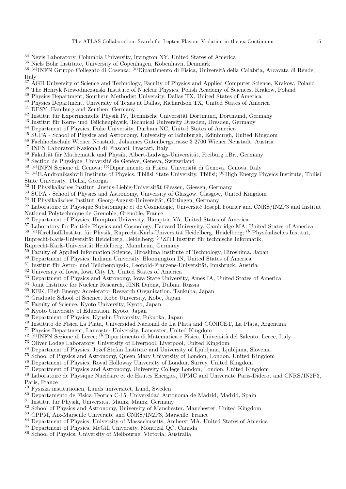- <sup>34</sup> Nevis Laboratory, Columbia University, Irvington NY, United States of America
- <sup>35</sup> Niels Bohr Institute, University of Copenhagen, Kobenhavn, Denmark

<sup>36 (a)</sup>INFN Gruppo Collegato di Cosenza; <sup>(b)</sup>Dipartimento di Fisica, Università della Calabria, Arcavata di Rende, Italy

- <sup>37</sup> AGH University of Science and Technology, Faculty of Physics and Applied Computer Science, Krakow, Poland
- <sup>38</sup> The Henryk Niewodniczanski Institute of Nuclear Physics, Polish Academy of Sciences, Krakow, Poland
- <sup>39</sup> Physics Department, Southern Methodist University, Dallas TX, United States of America
- <sup>40</sup> Physics Department, University of Texas at Dallas, Richardson TX, United States of America
- <sup>41</sup> DESY, Hamburg and Zeuthen, Germany
- $42$  Institut für Experimentelle Physik IV, Technische Universität Dortmund, Dortmund, Germany
- <sup>43</sup> Institut für Kern- und Teilchenphysik, Technical University Dresden, Dresden, Germany
- <sup>44</sup> Department of Physics, Duke University, Durham NC, United States of America
- <sup>45</sup> SUPA School of Physics and Astronomy, University of Edinburgh, Edinburgh, United Kingdom
- <sup>46</sup> Fachhochschule Wiener Neustadt, Johannes Gutenbergstrasse 3 2700 Wiener Neustadt, Austria
- <sup>47</sup> INFN Laboratori Nazionali di Frascati, Frascati, Italy
- <sup>48</sup> Fakultät für Mathematik und Physik, Albert-Ludwigs-Universität, Freiburg i.Br., Germany
- <sup>49</sup> Section de Physique, Université de Genève, Geneva, Switzerland
- <sup>50 (a)</sup>INFN Sezione di Genova; <sup>(b)</sup>Dipartimento di Fisica, Università di Genova, Genova, Italy
- $^{51}$  (a)E.Andronikashvili Institute of Physics, Tbilisi State University, Tbilisi; (b)High Energy Physics Institute, Tbilisi State University, Tbilisi, Georgia
- $52$  II Physikalisches Institut, Justus-Liebig-Universität Giessen, Giessen, Germany
- <sup>53</sup> SUPA School of Physics and Astronomy, University of Glasgow, Glasgow, United Kingdom
- $54$  II Physikalisches Institut, Georg-August-Universität, Göttingen, Germany
- <sup>55</sup> Laboratoire de Physique Subatomique et de Cosmologie, Université Joseph Fourier and CNRS/IN2P3 and Institut National Polytechnique de Grenoble, Grenoble, France
- $^{56}$  Department of Physics, Hampton University, Hampton VA, United States of America<br> $^{57}$  Laboratory for Partials Physics and Cosmology Harvard University, Cambridge MA
- <sup>57</sup> Laboratory for Particle Physics and Cosmology, Harvard University, Cambridge MA, United States of America
- $^{58}$  (a)Kirchhoff-Institut für Physik, Ruprecht-Karls-Universität Heidelberg, Heidelberg; (b)Physikalisches Institut,

Ruprecht-Karls-Universität Heidelberg, Heidelberg; <sup>(c)</sup>ZITI Institut für technische Informatik,

- Ruprecht-Karls-Universität Heidelberg, Mannheim, Germany
- <sup>59</sup> Faculty of Applied Information Science, Hiroshima Institute of Technology, Hiroshima, Japan
- <sup>60</sup> Department of Physics, Indiana University, Bloomington IN, United States of America
- Institut für Astro- und Teilchenphysik, Leopold-Franzens-Universität, Innsbruck, Austria
- <sup>62</sup> University of Iowa, Iowa City IA, United States of America
- <sup>63</sup> Department of Physics and Astronomy, Iowa State University, Ames IA, United States of America
- <sup>64</sup> Joint Institute for Nuclear Research, JINR Dubna, Dubna, Russia
- <sup>65</sup> KEK, High Energy Accelerator Research Organization, Tsukuba, Japan<br><sup>66</sup> Craduato School of Science, Kobo University, Kobo, Japan
- <sup>66</sup> Graduate School of Science, Kobe University, Kobe, Japan
- $^{67}$  Faculty of Science, Kyoto University, Kyoto, Japan  $^{68}$  Kyoto, University of Education, Kyoto, Japan
- $^{68}$  Kyoto University of Education, Kyoto, Japan<br> $^{69}$  Department of Physics, Kyushy University, Eq.
- $^{69}$  Department of Physics, Kyushu University, Fukuoka, Japan  $^{70}$  Institute de Féjee Le Plate. Universited Negional de Le Plate.
- <sup>70</sup> Instituto de Física La Plata, Universidad Nacional de La Plata and CONICET, La Plata, Argentina<br><sup>71</sup> Physics Dopertment, Lancaster University, Lancaster United Kingdom
- <sup>71</sup> Physics Department, Lancaster University, Lancaster, United Kingdom
- <sup>72 (a)</sup>INFN Sezione di Lecce; <sup>(b)</sup>Dipartimento di Matematica e Fisica, Università del Salento, Lecce, Italy
- <sup>73</sup> Oliver Lodge Laboratory, University of Liverpool, Liverpool, United Kingdom
- <sup>74</sup> Department of Physics, Jožef Stefan Institute and University of Ljubljana, Ljubljana, Slovenia
- <sup>75</sup> School of Physics and Astronomy, Queen Mary University of London, London, United Kingdom
- <sup>76</sup> Department of Physics, Royal Holloway University of London, Surrey, United Kingdom
- <sup>77</sup> Department of Physics and Astronomy, University College London, London, United Kingdom

<sup>78</sup> Laboratoire de Physique Nucléaire et de Hautes Energies, UPMC and Université Paris-Diderot and CNRS/IN2P3, Paris, France<br>79 Evropes in

- <sup>79</sup> Fysiska institutionen, Lunds universitet, Lund, Sweden
- <sup>80</sup> Departamento de Fisica Teorica C-15, Universidad Autonoma de Madrid, Madrid, Spain
- $81$  Institut für Physik, Universität Mainz, Mainz, Germany
- <sup>82</sup> School of Physics and Astronomy, University of Manchester, Manchester, United Kingdom
- <sup>83</sup> CPPM, Aix-Marseille Université and CNRS/IN2P3, Marseille, France
- <sup>84</sup> Department of Physics, University of Massachusetts, Amherst MA, United States of America
- <sup>85</sup> Department of Physics, McGill University, Montreal QC, Canada
- <sup>86</sup> School of Physics, University of Melbourne, Victoria, Australia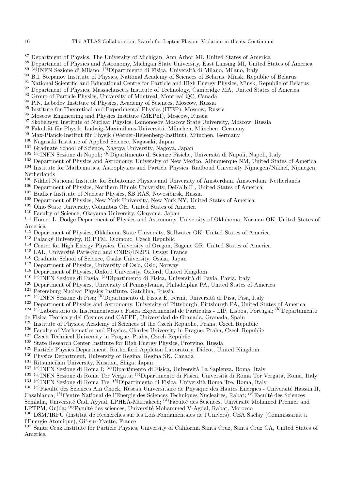- <sup>87</sup> Department of Physics, The University of Michigan, Ann Arbor MI, United States of America
- <sup>88</sup> Department of Physics and Astronomy, Michigan State University, East Lansing MI, United States of America
- <sup>89 (a)</sup>INFN Sezione di Milano; <sup>(b)</sup>Dipartimento di Fisica, Università di Milano, Milano, Italy
- <sup>90</sup> B.I. Stepanov Institute of Physics, National Academy of Sciences of Belarus, Minsk, Republic of Belarus
- <sup>91</sup> National Scientific and Educational Centre for Particle and High Energy Physics, Minsk, Republic of Belarus
- <sup>92</sup> Department of Physics, Massachusetts Institute of Technology, Cambridge MA, United States of America
- <sup>93</sup> Group of Particle Physics, University of Montreal, Montreal OC, Canada
- <sup>94</sup> P.N. Lebedev Institute of Physics, Academy of Sciences, Moscow, Russia
- <sup>95</sup> Institute for Theoretical and Experimental Physics (ITEP), Moscow, Russia<br><sup>96</sup> Moscow, Engineering and Physics Institute (MEPhI), Moscow, Puscia
- <sup>96</sup> Moscow Engineering and Physics Institute (MEPhI), Moscow, Russia
- <sup>97</sup> Skobeltsyn Institute of Nuclear Physics, Lomonosov Moscow State University, Moscow, Russia
- Fakultät für Physik, Ludwig-Maximilians-Universität München, München, Germany
- 99 Max-Planck-Institut für Physik (Werner-Heisenberg-Institut), München, Germany
- <sup>100</sup> Nagasaki Institute of Applied Science, Nagasaki, Japan
- <sup>101</sup> Graduate School of Science, Nagoya University, Nagoya, Japan
- <sup>102 (a)</sup>INFN Sezione di Napoli; <sup>(b)</sup>Dipartimento di Scienze Fisiche, Università di Napoli, Napoli, Italy
- <sup>103</sup> Department of Physics and Astronomy, University of New Mexico, Albuquerque NM, United States of America
- <sup>104</sup> Institute for Mathematics, Astrophysics and Particle Physics, Radboud University Nijmegen/Nikhef, Nijmegen, Netherlands
- <sup>105</sup> Nikhef National Institute for Subatomic Physics and University of Amsterdam, Amsterdam, Netherlands
- <sup>106</sup> Department of Physics, Northern Illinois University, DeKalb IL, United States of America<br><sup>107</sup> Budley Institute of Nueleer Physics, SB RAS, Neuccibirsk, Bussie
- <sup>107</sup> Budker Institute of Nuclear Physics, SB RAS, Novosibirsk, Russia<br><sup>108</sup> Department of Physics, Now York University, Now York NY, Unit
- <sup>108</sup> Department of Physics, New York University, New York NY, United States of America
- <sup>109</sup> Ohio State University, Columbus OH, United States of America
- <sup>110</sup> Faculty of Science, Okayama University, Okayama, Japan
- <sup>111</sup> Homer L. Dodge Department of Physics and Astronomy, University of Oklahoma, Norman OK, United States of America
- <sup>112</sup> Department of Physics, Oklahoma State University, Stillwater OK, United States of America
- <sup>113</sup> Palacký University, RCPTM, Olomouc, Czech Republic
- <sup>114</sup> Center for High Energy Physics, University of Oregon, Eugene OR, United States of America<br><sup>115</sup> LAL Université Paris Sud and CNDS (IN2P3, Oregon, France
- LAL, Université Paris-Sud and CNRS/IN2P3, Orsay, France
- <sup>116</sup> Graduate School of Science, Osaka University, Osaka, Japan
- <sup>117</sup> Department of Physics, University of Oslo, Oslo, Norway<br><sup>118</sup> Department of Physics, Oxford University, Oxford United
- <sup>118</sup> Department of Physics, Oxford University, Oxford, United Kingdom
- <sup>119 (a)</sup>INFN Sezione di Pavia; <sup>(b)</sup>Dipartimento di Fisica, Università di Pavia, Pavia, Italy
- <sup>120</sup> Department of Physics, University of Pennsylvania, Philadelphia PA, United States of America
- <sup>121</sup> Petersburg Nuclear Physics Institute, Gatchina, Russia
- <sup>122 (a)</sup>INFN Sezione di Pisa; <sup>(b)</sup>Dipartimento di Fisica E. Fermi, Università di Pisa, Pisa, Italy
- Department of Physics and Astronomy, University of Pittsburgh, Pittsburgh PA, United States of America
- 124 (a)Laboratorio de Instrumentacao e Fisica Experimental de Particulas LIP, Lisboa, Portugal; (b)Departamento
- de Fisica Teorica y del Cosmos and CAFPE, Universidad de Granada, Granada, Spain
- <sup>125</sup> Institute of Physics, Academy of Sciences of the Czech Republic, Praha, Czech Republic
- <sup>126</sup> Faculty of Mathematics and Physics, Charles University in Prague, Praha, Czech Republic<br><sup>127</sup> Czech Technical University in Prague, Praha, Czech Republic
- <sup>127</sup> Czech Technical University in Prague, Praha, Czech Republic
- <sup>128</sup> State Research Center Institute for High Energy Physics, Protvino, Russia
- <sup>129</sup> Particle Physics Department, Rutherford Appleton Laboratory, Didcot, United Kingdom<br><sup>130</sup> Physics Department, University of Begina, Begina SK, Canada
- <sup>130</sup> Physics Department, University of Regina, Regina SK, Canada
- <sup>131</sup> Ritsumeikan University, Kusatsu, Shiga, Japan
- <sup>132 (a)</sup>INFN Sezione di Roma I; <sup>(b)</sup>Dipartimento di Fisica, Università La Sapienza, Roma, Italy
- <sup>133 (a)</sup>INFN Sezione di Roma Tor Vergata; <sup>(b)</sup>Dipartimento di Fisica, Università di Roma Tor Vergata, Roma, Italy <sup>134 (a)</sup>INFN Sezione di Roma Tre; <sup>(b)</sup>Dipartimento di Fisica, Università Roma Tre, Roma, Italy
- <sup>135 (a)</sup>Faculté des Sciences Ain Chock, Réseau Universitaire de Physique des Hautes Energies Université Hassan II, Casablanca; <sup>(b)</sup>Centre National de l'Energie des Sciences Techniques Nucleaires, Rabat; <sup>(c)</sup>Faculté des Sciences
- Semlalia, Université Cadi Ayyad, LPHEA-Marrakech; <sup>(d)</sup>Faculté des Sciences, Université Mohamed Premier and LPTPM, Oujda; <sup>(e)</sup>Faculté des sciences, Université Mohammed V-Agdal, Rabat, Morocco
- <sup>136</sup> DSM/IRFU (Institut de Recherches sur les Lois Fondamentales de l'Univers), CEA Saclay (Commissariat a l'Energie Atomique), Gif-sur-Yvette, France
- <sup>137</sup> Santa Cruz Institute for Particle Physics, University of California Santa Cruz, Santa Cruz CA, United States of America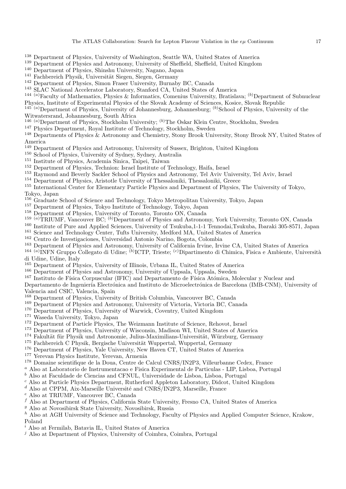- <sup>138</sup> Department of Physics, University of Washington, Seattle WA, United States of America
- <sup>139</sup> Department of Physics and Astronomy, University of Sheffield, Sheffield, United Kingdom
- <sup>140</sup> Department of Physics, Shinshu University, Nagano, Japan
- <sup>141</sup> Fachbereich Physik, Universität Siegen, Siegen, Germany
- <sup>142</sup> Department of Physics, Simon Fraser University, Burnaby BC, Canada
- <sup>143</sup> SLAC National Accelerator Laboratory, Stanford CA, United States of America
- <sup>144 (a)</sup>Faculty of Mathematics, Physics & Informatics, Comenius University, Bratislava; <sup>(b)</sup>Department of Subnuclear Physics, Institute of Experimental Physics of the Slovak Academy of Sciences, Kosice, Slovak Republic
- $145\degree(a)$  Department of Physics, University of Johannesburg, Johannesburg;  $(b)$  School of Physics, University of the
- Witwatersrand, Johannesburg, South Africa
- <sup>146</sup> <sup>(a)</sup>Department of Physics, Stockholm University; <sup>(b)</sup>The Oskar Klein Centre, Stockholm, Sweden
- <sup>147</sup> Physics Department, Royal Institute of Technology, Stockholm, Sweden
- <sup>148</sup> Departments of Physics & Astronomy and Chemistry, Stony Brook University, Stony Brook NY, United States of America
- <sup>149</sup> Department of Physics and Astronomy, University of Sussex, Brighton, United Kingdom
- <sup>150</sup> School of Physics, University of Sydney, Sydney, Australia
- <sup>151</sup> Institute of Physics, Academia Sinica, Taipei, Taiwan
- <sup>152</sup> Department of Physics, Technion: Israel Institute of Technology, Haifa, Israel
- <sup>153</sup> Raymond and Beverly Sackler School of Physics and Astronomy, Tel Aviv University, Tel Aviv, Israel
- <sup>154</sup> Department of Physics, Aristotle University of Thessaloniki, Thessaloniki, Greece
- <sup>155</sup> International Center for Elementary Particle Physics and Department of Physics, The University of Tokyo,
- Tokyo, Japan
- <sup>156</sup> Graduate School of Science and Technology, Tokyo Metropolitan University, Tokyo, Japan
- <sup>157</sup> Department of Physics, Tokyo Institute of Technology, Tokyo, Japan
- Department of Physics, University of Toronto, Toronto ON, Canada
- $^{159}$  (a)TRIUMF, Vancouver BC;  $^{(b)}$ Department of Physics and Astronomy, York University, Toronto ON, Canada<br> $^{160}$  Institute of Pure and Applied Sciences University of Tsukuba 1-1-1 Tennodai Tsukuba, Ibaraki 305-8571
- <sup>160</sup> Institute of Pure and Applied Sciences, University of Tsukuba,1-1-1 Tennodai,Tsukuba, Ibaraki 305-8571, Japan
- <sup>161</sup> Science and Technology Center, Tufts University, Medford MA, United States of America
- <sup>162</sup> Centro de Investigaciones, Universidad Antonio Narino, Bogota, Colombia
- 
- <sup>163</sup> Department of Physics and Astronomy, University of California Irvine, Irvine CA, United States of America<br><sup>164</sup> <sup>(a)</sup> INFN Gruppo Collegato di Udine; <sup>(b)</sup> ICTP, Trieste; <sup>(c)</sup> Dipartimento di Chimica, Fisica e Ambi di Udine, Udine, Italy
- <sup>165</sup> Department of Physics, University of Illinois, Urbana IL, United States of America
- <sup>166</sup> Department of Physics and Astronomy, University of Uppsala, Uppsala, Sweden <sup>167</sup> Institute de Eísics Corpuscular (IEIC) and Departmente de Eísics Atómics, M
- Instituto de Física Corpuscular (IFIC) and Departamento de Física Atómica, Molecular y Nuclear and
- Departamento de Ingeniería Electrónica and Instituto de Microelectrónica de Barcelona (IMB-CNM), University of Valencia and CSIC, Valencia, Spain
- <sup>168</sup> Department of Physics, University of British Columbia, Vancouver BC, Canada
- <sup>169</sup> Department of Physics and Astronomy, University of Victoria, Victoria BC, Canada
- <sup>170</sup> Department of Physics, University of Warwick, Coventry, United Kingdom<br><sup>171</sup> Waseda University, Tokyo, Japan
- Waseda University, Tokyo, Japan
- <sup>172</sup> Department of Particle Physics, The Weizmann Institute of Science, Rehovot, Israel<br><sup>173</sup> Department of Physics, University of Wisconsin, Medison WI, United States of Ame
- <sup>173</sup> Department of Physics, University of Wisconsin, Madison WI, United States of America<br><sup>174</sup> February Bhysile und Astronomia, Julius Marimilians Universität, Würzburg, Carman
- <sup>174</sup> Fakultät für Physik und Astronomie, Julius-Maximilians-Universität, Würzburg, Germany<br><sup>175</sup> Fachbereich C Physik, Bergische Universität Wunnertal, Wunnertal, Germany
- Fachbereich C Physik, Bergische Universität Wuppertal, Wuppertal, Germany
- <sup>176</sup> Department of Physics, Yale University, New Haven CT, United States of America<br><sup>177</sup> Yereyan Physics Institute, Yereyan, Armenia
- Yerevan Physics Institute, Yerevan, Armenia
- <sup>178</sup> Domaine scientifique de la Doua, Centre de Calcul CNRS/IN2P3, Villeurbanne Cedex, France
- <sup>a</sup> Also at Laboratorio de Instrumentacao e Fisica Experimental de Particulas LIP, Lisboa, Portugal
- $<sup>b</sup>$  Also at Faculdade de Ciencias and CFNUL, Universidade de Lisboa, Lisboa, Portugal</sup>
- <sup>c</sup> Also at Particle Physics Department, Rutherford Appleton Laboratory, Didcot, United Kingdom
- $d$  Also at CPPM, Aix-Marseille Université and CNRS/IN2P3, Marseille, France
- <sup>e</sup> Also at TRIUMF, Vancouver BC, Canada
- $f$  Also at Department of Physics, California State University, Fresno CA, United States of America
- <sup>g</sup> Also at Novosibirsk State University, Novosibirsk, Russia

h Also at AGH University of Science and Technology, Faculty of Physics and Applied Computer Science, Krakow, Poland

- $i$  Also at Fermilab, Batavia IL, United States of America
- $j$  Also at Department of Physics, University of Coimbra, Coimbra, Portugal